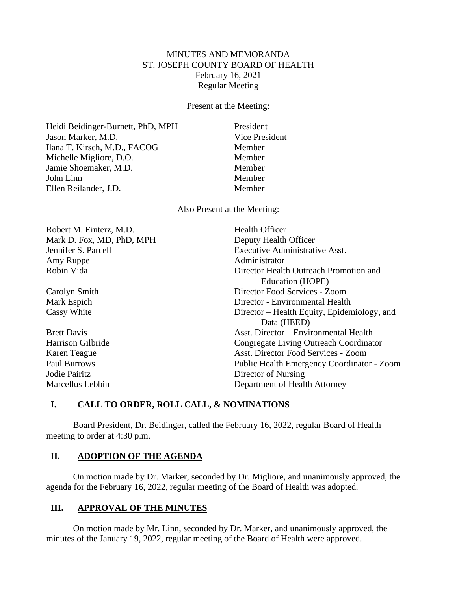# MINUTES AND MEMORANDA ST. JOSEPH COUNTY BOARD OF HEALTH February 16, 2021 Regular Meeting

Present at the Meeting:

Heidi Beidinger-Burnett, PhD, MPH President Jason Marker, M.D. Vice President Ilana T. Kirsch, M.D., FACOG Member Michelle Migliore, D.O. Member Jamie Shoemaker, M.D. Member John Linn Member Ellen Reilander, J.D. Member

Also Present at the Meeting:

| Robert M. Einterz, M.D.   | <b>Health Officer</b>                             |
|---------------------------|---------------------------------------------------|
| Mark D. Fox, MD, PhD, MPH | Deputy Health Officer                             |
| Jennifer S. Parcell       | <b>Executive Administrative Asst.</b>             |
| Amy Ruppe                 | Administrator                                     |
| Robin Vida                | Director Health Outreach Promotion and            |
|                           | Education (HOPE)                                  |
| Carolyn Smith             | Director Food Services - Zoom                     |
| Mark Espich               | Director - Environmental Health                   |
| Cassy White               | Director – Health Equity, Epidemiology, and       |
|                           | Data (HEED)                                       |
| <b>Brett Davis</b>        | Asst. Director – Environmental Health             |
| Harrison Gilbride         | Congregate Living Outreach Coordinator            |
| Karen Teague              | Asst. Director Food Services - Zoom               |
| Paul Burrows              | <b>Public Health Emergency Coordinator - Zoom</b> |
| Jodie Pairitz             | Director of Nursing                               |
| Marcellus Lebbin          | Department of Health Attorney                     |

### **I. CALL TO ORDER, ROLL CALL, & NOMINATIONS**

Board President, Dr. Beidinger, called the February 16, 2022, regular Board of Health meeting to order at 4:30 p.m.

### **II. ADOPTION OF THE AGENDA**

On motion made by Dr. Marker, seconded by Dr. Migliore, and unanimously approved, the agenda for the February 16, 2022, regular meeting of the Board of Health was adopted.

### **III. APPROVAL OF THE MINUTES**

On motion made by Mr. Linn, seconded by Dr. Marker, and unanimously approved, the minutes of the January 19, 2022, regular meeting of the Board of Health were approved.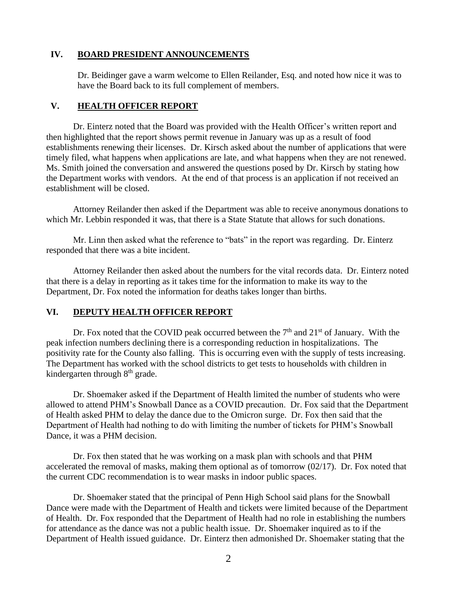### **IV. BOARD PRESIDENT ANNOUNCEMENTS**

Dr. Beidinger gave a warm welcome to Ellen Reilander, Esq. and noted how nice it was to have the Board back to its full complement of members.

### **V. HEALTH OFFICER REPORT**

Dr. Einterz noted that the Board was provided with the Health Officer's written report and then highlighted that the report shows permit revenue in January was up as a result of food establishments renewing their licenses. Dr. Kirsch asked about the number of applications that were timely filed, what happens when applications are late, and what happens when they are not renewed. Ms. Smith joined the conversation and answered the questions posed by Dr. Kirsch by stating how the Department works with vendors. At the end of that process is an application if not received an establishment will be closed.

Attorney Reilander then asked if the Department was able to receive anonymous donations to which Mr. Lebbin responded it was, that there is a State Statute that allows for such donations.

Mr. Linn then asked what the reference to "bats" in the report was regarding. Dr. Einterz responded that there was a bite incident.

Attorney Reilander then asked about the numbers for the vital records data. Dr. Einterz noted that there is a delay in reporting as it takes time for the information to make its way to the Department, Dr. Fox noted the information for deaths takes longer than births.

#### **VI. DEPUTY HEALTH OFFICER REPORT**

Dr. Fox noted that the COVID peak occurred between the  $7<sup>th</sup>$  and  $21<sup>st</sup>$  of January. With the peak infection numbers declining there is a corresponding reduction in hospitalizations. The positivity rate for the County also falling. This is occurring even with the supply of tests increasing. The Department has worked with the school districts to get tests to households with children in kindergarten through 8<sup>th</sup> grade.

Dr. Shoemaker asked if the Department of Health limited the number of students who were allowed to attend PHM's Snowball Dance as a COVID precaution. Dr. Fox said that the Department of Health asked PHM to delay the dance due to the Omicron surge. Dr. Fox then said that the Department of Health had nothing to do with limiting the number of tickets for PHM's Snowball Dance, it was a PHM decision.

Dr. Fox then stated that he was working on a mask plan with schools and that PHM accelerated the removal of masks, making them optional as of tomorrow (02/17). Dr. Fox noted that the current CDC recommendation is to wear masks in indoor public spaces.

Dr. Shoemaker stated that the principal of Penn High School said plans for the Snowball Dance were made with the Department of Health and tickets were limited because of the Department of Health. Dr. Fox responded that the Department of Health had no role in establishing the numbers for attendance as the dance was not a public health issue. Dr. Shoemaker inquired as to if the Department of Health issued guidance. Dr. Einterz then admonished Dr. Shoemaker stating that the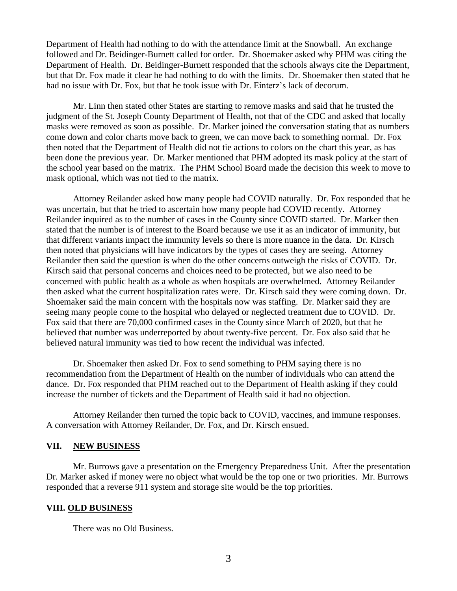Department of Health had nothing to do with the attendance limit at the Snowball. An exchange followed and Dr. Beidinger-Burnett called for order. Dr. Shoemaker asked why PHM was citing the Department of Health. Dr. Beidinger-Burnett responded that the schools always cite the Department, but that Dr. Fox made it clear he had nothing to do with the limits. Dr. Shoemaker then stated that he had no issue with Dr. Fox, but that he took issue with Dr. Einterz's lack of decorum.

Mr. Linn then stated other States are starting to remove masks and said that he trusted the judgment of the St. Joseph County Department of Health, not that of the CDC and asked that locally masks were removed as soon as possible. Dr. Marker joined the conversation stating that as numbers come down and color charts move back to green, we can move back to something normal. Dr. Fox then noted that the Department of Health did not tie actions to colors on the chart this year, as has been done the previous year. Dr. Marker mentioned that PHM adopted its mask policy at the start of the school year based on the matrix. The PHM School Board made the decision this week to move to mask optional, which was not tied to the matrix.

Attorney Reilander asked how many people had COVID naturally. Dr. Fox responded that he was uncertain, but that he tried to ascertain how many people had COVID recently. Attorney Reilander inquired as to the number of cases in the County since COVID started. Dr. Marker then stated that the number is of interest to the Board because we use it as an indicator of immunity, but that different variants impact the immunity levels so there is more nuance in the data. Dr. Kirsch then noted that physicians will have indicators by the types of cases they are seeing. Attorney Reilander then said the question is when do the other concerns outweigh the risks of COVID. Dr. Kirsch said that personal concerns and choices need to be protected, but we also need to be concerned with public health as a whole as when hospitals are overwhelmed. Attorney Reilander then asked what the current hospitalization rates were. Dr. Kirsch said they were coming down. Dr. Shoemaker said the main concern with the hospitals now was staffing. Dr. Marker said they are seeing many people come to the hospital who delayed or neglected treatment due to COVID. Dr. Fox said that there are 70,000 confirmed cases in the County since March of 2020, but that he believed that number was underreported by about twenty-five percent. Dr. Fox also said that he believed natural immunity was tied to how recent the individual was infected.

Dr. Shoemaker then asked Dr. Fox to send something to PHM saying there is no recommendation from the Department of Health on the number of individuals who can attend the dance. Dr. Fox responded that PHM reached out to the Department of Health asking if they could increase the number of tickets and the Department of Health said it had no objection.

Attorney Reilander then turned the topic back to COVID, vaccines, and immune responses. A conversation with Attorney Reilander, Dr. Fox, and Dr. Kirsch ensued.

### **VII. NEW BUSINESS**

Mr. Burrows gave a presentation on the Emergency Preparedness Unit. After the presentation Dr. Marker asked if money were no object what would be the top one or two priorities. Mr. Burrows responded that a reverse 911 system and storage site would be the top priorities.

#### **VIII. OLD BUSINESS**

There was no Old Business.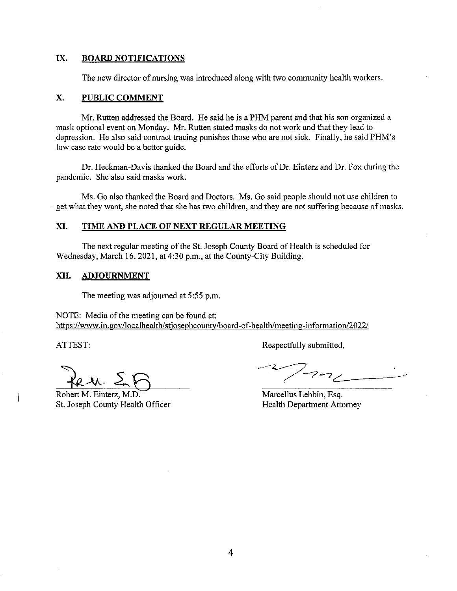#### IX. **BOARD NOTIFICATIONS**

The new director of nursing was introduced along with two community health workers.

#### X. **PUBLIC COMMENT**

Mr. Rutten addressed the Board. He said he is a PHM parent and that his son organized a mask optional event on Monday. Mr. Rutten stated masks do not work and that they lead to depression. He also said contract tracing punishes those who are not sick. Finally, he said PHM's low case rate would be a better guide.

Dr. Heckman-Davis thanked the Board and the efforts of Dr. Einterz and Dr. Fox during the pandemic. She also said masks work.

Ms. Go also thanked the Board and Doctors. Ms. Go said people should not use children to get what they want, she noted that she has two children, and they are not suffering because of masks.

#### XI. TIME AND PLACE OF NEXT REGULAR MEETING

The next regular meeting of the St. Joseph County Board of Health is scheduled for Wednesday, March 16, 2021, at 4:30 p.m., at the County-City Building.

#### XII. **ADJOURNMENT**

The meeting was adjourned at 5:55 p.m.

NOTE: Media of the meeting can be found at: https://www.in.gov/localhealth/stjosephcounty/board-of-health/meeting-information/2022/

ATTEST:

Robert M. Einterz, M.D. St. Joseph County Health Officer

Respectfully submitted,

 $2 - 2$ 

Marcellus Lebbin, Esq. **Health Department Attorney**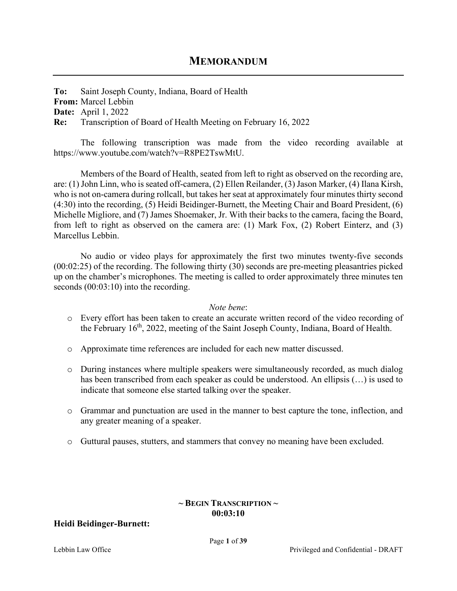**To:** Saint Joseph County, Indiana, Board of Health **From:** Marcel Lebbin **Date:** April 1, 2022

**Re:** Transcription of Board of Health Meeting on February 16, 2022

The following transcription was made from the video recording available at https://www.youtube.com/watch?v=R8PE2TswMtU.

Members of the Board of Health, seated from left to right as observed on the recording are, are: (1) John Linn, who is seated off-camera, (2) Ellen Reilander, (3) Jason Marker, (4) Ilana Kirsh, who is not on-camera during rollcall, but takes her seat at approximately four minutes thirty second (4:30) into the recording, (5) Heidi Beidinger-Burnett, the Meeting Chair and Board President, (6) Michelle Migliore, and (7) James Shoemaker, Jr. With their backs to the camera, facing the Board, from left to right as observed on the camera are: (1) Mark Fox, (2) Robert Einterz, and (3) Marcellus Lebbin.

No audio or video plays for approximately the first two minutes twenty-five seconds (00:02:25) of the recording. The following thirty (30) seconds are pre-meeting pleasantries picked up on the chamber's microphones. The meeting is called to order approximately three minutes ten seconds  $(00:03:10)$  into the recording.

### *Note bene*:

- o Every effort has been taken to create an accurate written record of the video recording of the February 16th, 2022, meeting of the Saint Joseph County, Indiana, Board of Health.
- o Approximate time references are included for each new matter discussed.
- o During instances where multiple speakers were simultaneously recorded, as much dialog has been transcribed from each speaker as could be understood. An ellipsis (…) is used to indicate that someone else started talking over the speaker.
- o Grammar and punctuation are used in the manner to best capture the tone, inflection, and any greater meaning of a speaker.
- o Guttural pauses, stutters, and stammers that convey no meaning have been excluded.

# **~ BEGIN TRANSCRIPTION ~ 00:03:10**

# **Heidi Beidinger-Burnett:**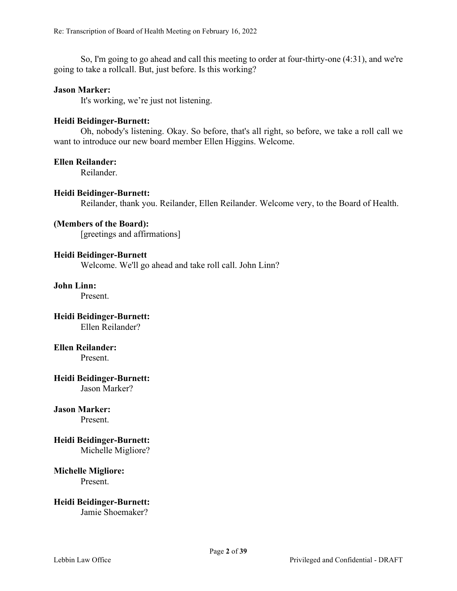So, I'm going to go ahead and call this meeting to order at four-thirty-one (4:31), and we're going to take a rollcall. But, just before. Is this working?

#### **Jason Marker:**

It's working, we're just not listening.

#### **Heidi Beidinger-Burnett:**

Oh, nobody's listening. Okay. So before, that's all right, so before, we take a roll call we want to introduce our new board member Ellen Higgins. Welcome.

#### **Ellen Reilander:**

Reilander.

#### **Heidi Beidinger-Burnett:**

Reilander, thank you. Reilander, Ellen Reilander. Welcome very, to the Board of Health.

## **(Members of the Board):**

[greetings and affirmations]

#### **Heidi Beidinger-Burnett**

Welcome. We'll go ahead and take roll call. John Linn?

#### **John Linn:**

Present.

# **Heidi Beidinger-Burnett:** Ellen Reilander?

#### **Ellen Reilander:**

Present.

# **Heidi Beidinger-Burnett:**

Jason Marker?

### **Jason Marker:**

Present.

# **Heidi Beidinger-Burnett:**

Michelle Migliore?

#### **Michelle Migliore:** Present.

**Heidi Beidinger-Burnett:** Jamie Shoemaker?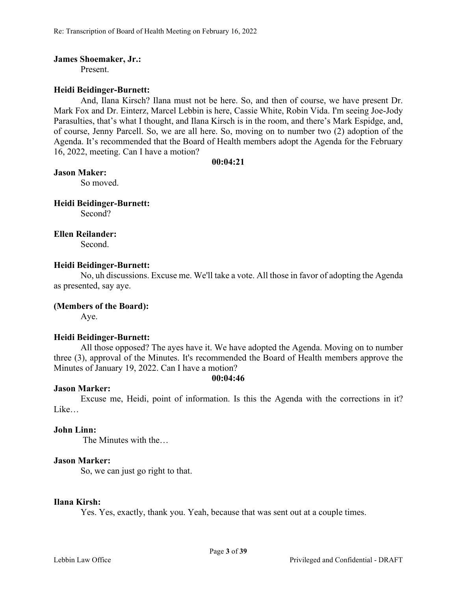#### **James Shoemaker, Jr.:**

Present.

### **Heidi Beidinger-Burnett:**

And, Ilana Kirsch? Ilana must not be here. So, and then of course, we have present Dr. Mark Fox and Dr. Einterz, Marcel Lebbin is here, Cassie White, Robin Vida. I'm seeing Joe-Jody Parasulties, that's what I thought, and Ilana Kirsch is in the room, and there's Mark Espidge, and, of course, Jenny Parcell. So, we are all here. So, moving on to number two (2) adoption of the Agenda. It's recommended that the Board of Health members adopt the Agenda for the February 16, 2022, meeting. Can I have a motion?

#### **00:04:21**

#### **Jason Maker:**

So moved.

#### **Heidi Beidinger-Burnett:**

Second?

### **Ellen Reilander:**

Second.

### **Heidi Beidinger-Burnett:**

No, uh discussions. Excuse me. We'll take a vote. All those in favor of adopting the Agenda as presented, say aye.

### **(Members of the Board):**

Aye.

### **Heidi Beidinger-Burnett:**

All those opposed? The ayes have it. We have adopted the Agenda. Moving on to number three (3), approval of the Minutes. It's recommended the Board of Health members approve the Minutes of January 19, 2022. Can I have a motion?

#### **00:04:46**

### **Jason Marker:**

Excuse me, Heidi, point of information. Is this the Agenda with the corrections in it? Like…

#### **John Linn:**

The Minutes with the…

### **Jason Marker:**

So, we can just go right to that.

#### **Ilana Kirsh:**

Yes. Yes, exactly, thank you. Yeah, because that was sent out at a couple times.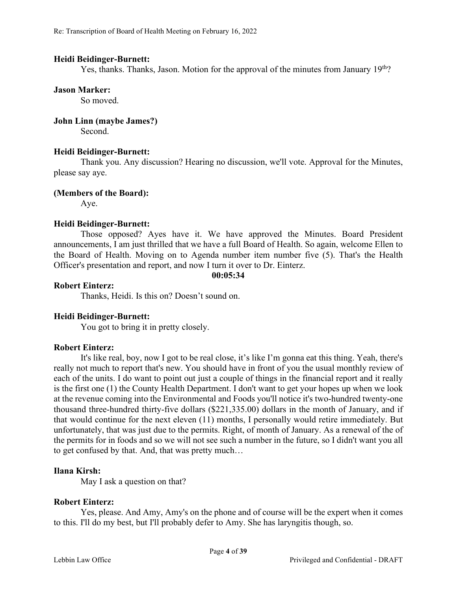#### **Heidi Beidinger-Burnett:**

Yes, thanks. Thanks, Jason. Motion for the approval of the minutes from January  $19<sup>th</sup>$ ?

#### **Jason Marker:**

So moved.

## **John Linn (maybe James?)**

Second.

### **Heidi Beidinger-Burnett:**

Thank you. Any discussion? Hearing no discussion, we'll vote. Approval for the Minutes, please say aye.

### **(Members of the Board):**

Aye.

### **Heidi Beidinger-Burnett:**

Those opposed? Ayes have it. We have approved the Minutes. Board President announcements, I am just thrilled that we have a full Board of Health. So again, welcome Ellen to the Board of Health. Moving on to Agenda number item number five (5). That's the Health Officer's presentation and report, and now I turn it over to Dr. Einterz.

#### **00:05:34**

### **Robert Einterz:**

Thanks, Heidi. Is this on? Doesn't sound on.

### **Heidi Beidinger-Burnett:**

You got to bring it in pretty closely.

### **Robert Einterz:**

It's like real, boy, now I got to be real close, it's like I'm gonna eat this thing. Yeah, there's really not much to report that's new. You should have in front of you the usual monthly review of each of the units. I do want to point out just a couple of things in the financial report and it really is the first one (1) the County Health Department. I don't want to get your hopes up when we look at the revenue coming into the Environmental and Foods you'll notice it's two-hundred twenty-one thousand three-hundred thirty-five dollars (\$221,335.00) dollars in the month of January, and if that would continue for the next eleven (11) months, I personally would retire immediately. But unfortunately, that was just due to the permits. Right, of month of January. As a renewal of the of the permits for in foods and so we will not see such a number in the future, so I didn't want you all to get confused by that. And, that was pretty much…

### **Ilana Kirsh:**

May I ask a question on that?

### **Robert Einterz:**

Yes, please. And Amy, Amy's on the phone and of course will be the expert when it comes to this. I'll do my best, but I'll probably defer to Amy. She has laryngitis though, so.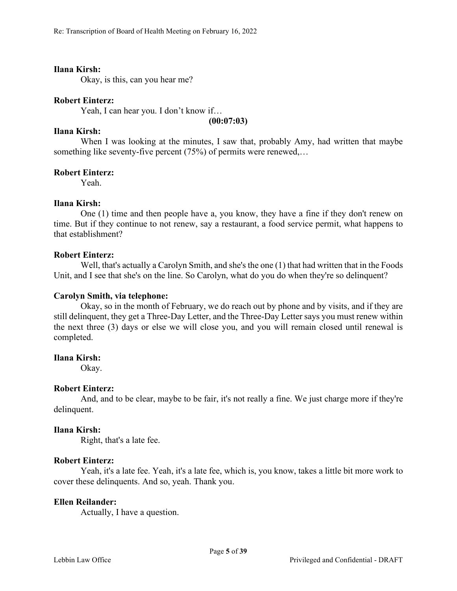### **Ilana Kirsh:**

Okay, is this, can you hear me?

#### **Robert Einterz:**

Yeah, I can hear you. I don't know if…

**(00:07:03)**

## **Ilana Kirsh:**

When I was looking at the minutes, I saw that, probably Amy, had written that maybe something like seventy-five percent (75%) of permits were renewed,...

#### **Robert Einterz:**

Yeah.

#### **Ilana Kirsh:**

One (1) time and then people have a, you know, they have a fine if they don't renew on time. But if they continue to not renew, say a restaurant, a food service permit, what happens to that establishment?

#### **Robert Einterz:**

Well, that's actually a Carolyn Smith, and she's the one (1) that had written that in the Foods Unit, and I see that she's on the line. So Carolyn, what do you do when they're so delinquent?

#### **Carolyn Smith, via telephone:**

Okay, so in the month of February, we do reach out by phone and by visits, and if they are still delinquent, they get a Three-Day Letter, and the Three-Day Letter says you must renew within the next three (3) days or else we will close you, and you will remain closed until renewal is completed.

#### **Ilana Kirsh:**

Okay.

#### **Robert Einterz:**

And, and to be clear, maybe to be fair, it's not really a fine. We just charge more if they're delinquent.

### **Ilana Kirsh:**

Right, that's a late fee.

### **Robert Einterz:**

Yeah, it's a late fee. Yeah, it's a late fee, which is, you know, takes a little bit more work to cover these delinquents. And so, yeah. Thank you.

### **Ellen Reilander:**

Actually, I have a question.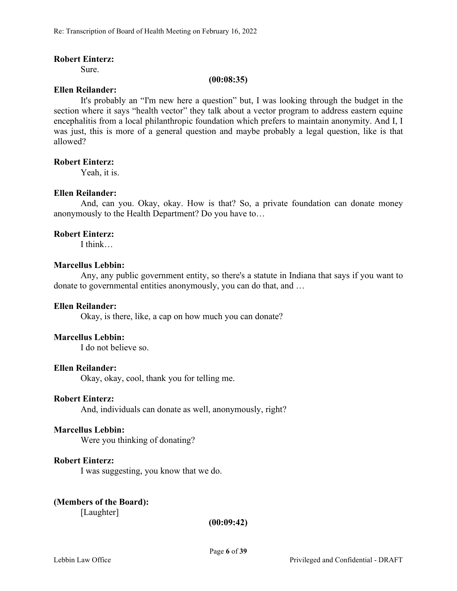#### **Robert Einterz:**

Sure.

#### **(00:08:35)**

# **Ellen Reilander:**

It's probably an "I'm new here a question" but, I was looking through the budget in the section where it says "health vector" they talk about a vector program to address eastern equine encephalitis from a local philanthropic foundation which prefers to maintain anonymity. And I, I was just, this is more of a general question and maybe probably a legal question, like is that allowed?

#### **Robert Einterz:**

Yeah, it is.

### **Ellen Reilander:**

And, can you. Okay, okay. How is that? So, a private foundation can donate money anonymously to the Health Department? Do you have to…

### **Robert Einterz:**

I think…

#### **Marcellus Lebbin:**

Any, any public government entity, so there's a statute in Indiana that says if you want to donate to governmental entities anonymously, you can do that, and …

### **Ellen Reilander:**

Okay, is there, like, a cap on how much you can donate?

### **Marcellus Lebbin:**

I do not believe so.

### **Ellen Reilander:**

Okay, okay, cool, thank you for telling me.

#### **Robert Einterz:**

And, individuals can donate as well, anonymously, right?

#### **Marcellus Lebbin:**

Were you thinking of donating?

# **Robert Einterz:**

I was suggesting, you know that we do.

# **(Members of the Board):**

[Laughter]

**(00:09:42)**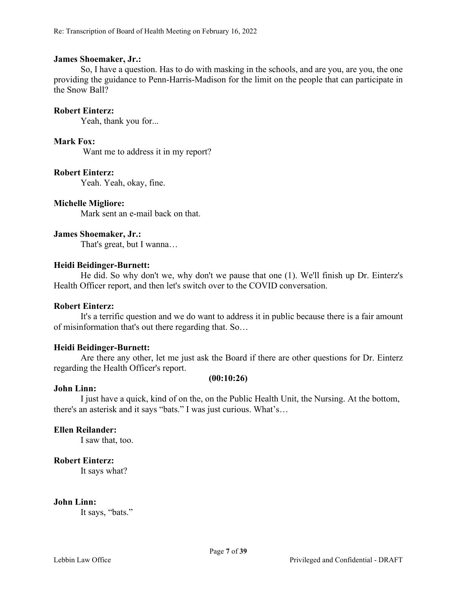#### **James Shoemaker, Jr.:**

So, I have a question. Has to do with masking in the schools, and are you, are you, the one providing the guidance to Penn-Harris-Madison for the limit on the people that can participate in the Snow Ball?

#### **Robert Einterz:**

Yeah, thank you for...

#### **Mark Fox:**

Want me to address it in my report?

#### **Robert Einterz:**

Yeah. Yeah, okay, fine.

#### **Michelle Migliore:**

Mark sent an e-mail back on that.

#### **James Shoemaker, Jr.:**

That's great, but I wanna…

#### **Heidi Beidinger-Burnett:**

He did. So why don't we, why don't we pause that one (1). We'll finish up Dr. Einterz's Health Officer report, and then let's switch over to the COVID conversation.

#### **Robert Einterz:**

It's a terrific question and we do want to address it in public because there is a fair amount of misinformation that's out there regarding that. So…

### **Heidi Beidinger-Burnett:**

Are there any other, let me just ask the Board if there are other questions for Dr. Einterz regarding the Health Officer's report.

#### **(00:10:26)**

### **John Linn:**

I just have a quick, kind of on the, on the Public Health Unit, the Nursing. At the bottom, there's an asterisk and it says "bats." I was just curious. What's…

#### **Ellen Reilander:**

I saw that, too.

### **Robert Einterz:**

It says what?

#### **John Linn:**

It says, "bats."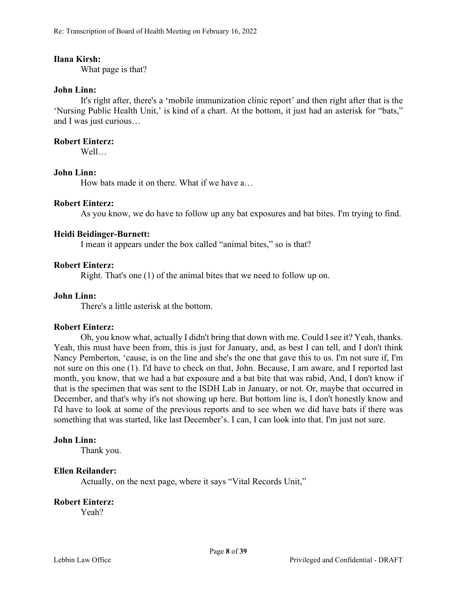Re: Transcription of Board of Health Meeting on February 16, 2022

#### **Ilana Kirsh:**

What page is that?

#### **John Linn:**

It's right after, there's a 'mobile immunization clinic report' and then right after that is the 'Nursing Public Health Unit,' is kind of a chart. At the bottom, it just had an asterisk for "bats," and I was just curious…

#### **Robert Einterz:**

Well…

### **John Linn:**

How bats made it on there. What if we have a…

#### **Robert Einterz:**

As you know, we do have to follow up any bat exposures and bat bites. I'm trying to find.

#### **Heidi Beidinger-Burnett:**

I mean it appears under the box called "animal bites," so is that?

#### **Robert Einterz:**

Right. That's one (1) of the animal bites that we need to follow up on.

#### **John Linn:**

There's a little asterisk at the bottom.

#### **Robert Einterz:**

Oh, you know what, actually I didn't bring that down with me. Could I see it? Yeah, thanks. Yeah, this must have been from, this is just for January, and, as best I can tell, and I don't think Nancy Pemberton, 'cause, is on the line and she's the one that gave this to us. I'm not sure if, I'm not sure on this one (1). I'd have to check on that, John. Because, I am aware, and I reported last month, you know, that we had a bat exposure and a bat bite that was rabid, And, I don't know if that is the specimen that was sent to the ISDH Lab in January, or not. Or, maybe that occurred in December, and that's why it's not showing up here. But bottom line is, I don't honestly know and I'd have to look at some of the previous reports and to see when we did have bats if there was something that was started, like last December's. I can, I can look into that. I'm just not sure.

#### **John Linn:**

Thank you.

#### **Ellen Reilander:**

Actually, on the next page, where it says "Vital Records Unit,"

#### **Robert Einterz:**

Yeah?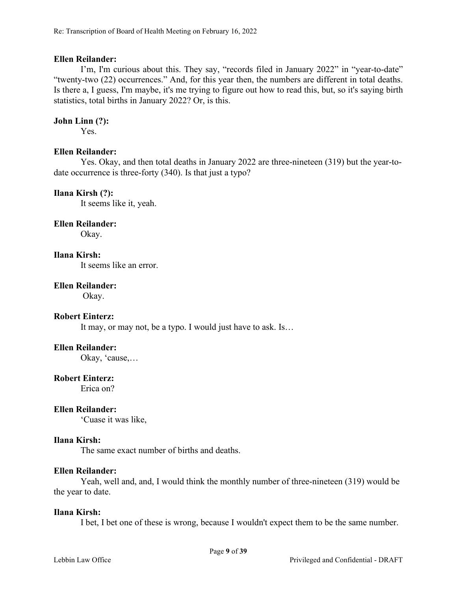### **Ellen Reilander:**

I'm, I'm curious about this. They say, "records filed in January 2022" in "year-to-date" "twenty-two (22) occurrences." And, for this year then, the numbers are different in total deaths. Is there a, I guess, I'm maybe, it's me trying to figure out how to read this, but, so it's saying birth statistics, total births in January 2022? Or, is this.

### **John Linn (?):**

Yes.

### **Ellen Reilander:**

Yes. Okay, and then total deaths in January 2022 are three-nineteen (319) but the year-todate occurrence is three-forty (340). Is that just a typo?

### **Ilana Kirsh (?):**

It seems like it, yeah.

#### **Ellen Reilander:**

Okay.

# **Ilana Kirsh:**

It seems like an error.

### **Ellen Reilander:**

Okay.

#### **Robert Einterz:**

It may, or may not, be a typo. I would just have to ask. Is…

#### **Ellen Reilander:**

Okay, 'cause,…

#### **Robert Einterz:**

Erica on?

### **Ellen Reilander:**

'Cuase it was like,

#### **Ilana Kirsh:**

The same exact number of births and deaths.

#### **Ellen Reilander:**

Yeah, well and, and, I would think the monthly number of three-nineteen (319) would be the year to date.

#### **Ilana Kirsh:**

I bet, I bet one of these is wrong, because I wouldn't expect them to be the same number.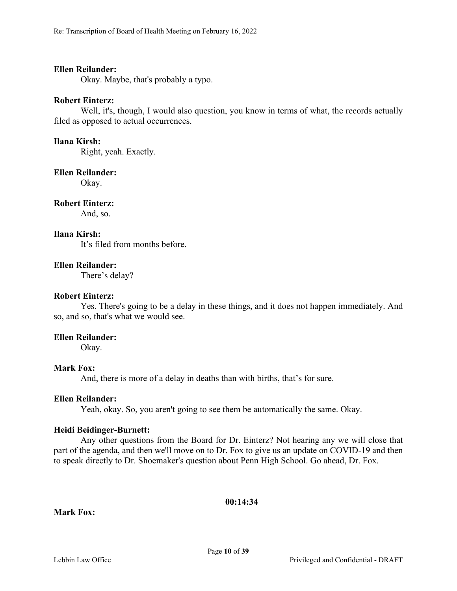#### **Ellen Reilander:**

Okay. Maybe, that's probably a typo.

#### **Robert Einterz:**

Well, it's, though, I would also question, you know in terms of what, the records actually filed as opposed to actual occurrences.

#### **Ilana Kirsh:**

Right, yeah. Exactly.

#### **Ellen Reilander:**

Okay.

#### **Robert Einterz:**

And, so.

### **Ilana Kirsh:**

It's filed from months before.

### **Ellen Reilander:**

There's delay?

#### **Robert Einterz:**

Yes. There's going to be a delay in these things, and it does not happen immediately. And so, and so, that's what we would see.

### **Ellen Reilander:**

Okay.

### **Mark Fox:**

And, there is more of a delay in deaths than with births, that's for sure.

#### **Ellen Reilander:**

Yeah, okay. So, you aren't going to see them be automatically the same. Okay.

#### **Heidi Beidinger-Burnett:**

Any other questions from the Board for Dr. Einterz? Not hearing any we will close that part of the agenda, and then we'll move on to Dr. Fox to give us an update on COVID-19 and then to speak directly to Dr. Shoemaker's question about Penn High School. Go ahead, Dr. Fox.

### **00:14:34**

### **Mark Fox:**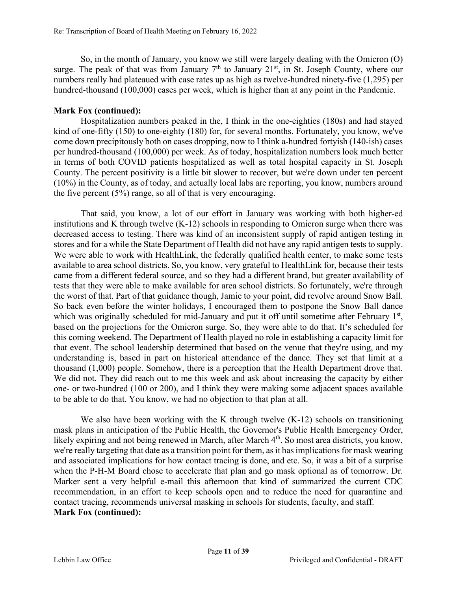So, in the month of January, you know we still were largely dealing with the Omicron (Ο) surge. The peak of that was from January  $7<sup>th</sup>$  to January 21<sup>st</sup>, in St. Joseph County, where our numbers really had plateaued with case rates up as high as twelve-hundred ninety-five (1,295) per hundred-thousand (100,000) cases per week, which is higher than at any point in the Pandemic.

# **Mark Fox (continued):**

Hospitalization numbers peaked in the, I think in the one-eighties (180s) and had stayed kind of one-fifty (150) to one-eighty (180) for, for several months. Fortunately, you know, we've come down precipitously both on cases dropping, now to I think a-hundred fortyish (140-ish) cases per hundred-thousand (100,000) per week. As of today, hospitalization numbers look much better in terms of both COVID patients hospitalized as well as total hospital capacity in St. Joseph County. The percent positivity is a little bit slower to recover, but we're down under ten percent (10%) in the County, as of today, and actually local labs are reporting, you know, numbers around the five percent (5%) range, so all of that is very encouraging.

That said, you know, a lot of our effort in January was working with both higher-ed institutions and K through twelve (K-12) schools in responding to Omicron surge when there was decreased access to testing. There was kind of an inconsistent supply of rapid antigen testing in stores and for a while the State Department of Health did not have any rapid antigen tests to supply. We were able to work with HealthLink, the federally qualified health center, to make some tests available to area school districts. So, you know, very grateful to HealthLink for, because their tests came from a different federal source, and so they had a different brand, but greater availability of tests that they were able to make available for area school districts. So fortunately, we're through the worst of that. Part of that guidance though, Jamie to your point, did revolve around Snow Ball. So back even before the winter holidays, I encouraged them to postpone the Snow Ball dance which was originally scheduled for mid-January and put it off until sometime after February 1st, based on the projections for the Omicron surge. So, they were able to do that. It's scheduled for this coming weekend. The Department of Health played no role in establishing a capacity limit for that event. The school leadership determined that based on the venue that they're using, and my understanding is, based in part on historical attendance of the dance. They set that limit at a thousand (1,000) people. Somehow, there is a perception that the Health Department drove that. We did not. They did reach out to me this week and ask about increasing the capacity by either one- or two-hundred (100 or 200), and I think they were making some adjacent spaces available to be able to do that. You know, we had no objection to that plan at all.

We also have been working with the K through twelve (K-12) schools on transitioning mask plans in anticipation of the Public Health, the Governor's Public Health Emergency Order, likely expiring and not being renewed in March, after March 4<sup>th</sup>. So most area districts, you know, we're really targeting that date as a transition point for them, as it has implications for mask wearing and associated implications for how contact tracing is done, and etc. So, it was a bit of a surprise when the P-H-M Board chose to accelerate that plan and go mask optional as of tomorrow. Dr. Marker sent a very helpful e-mail this afternoon that kind of summarized the current CDC recommendation, in an effort to keep schools open and to reduce the need for quarantine and contact tracing, recommends universal masking in schools for students, faculty, and staff. **Mark Fox (continued):**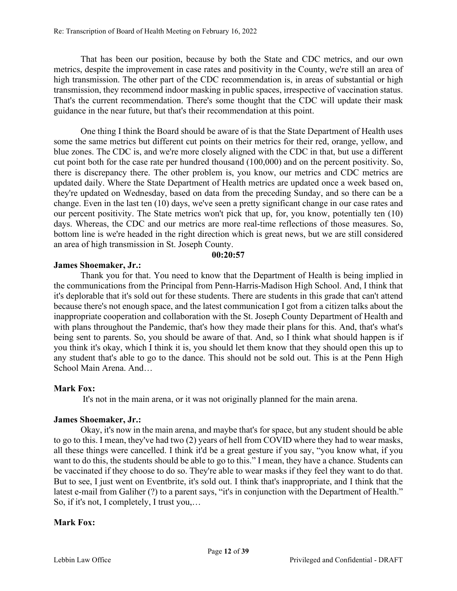That has been our position, because by both the State and CDC metrics, and our own metrics, despite the improvement in case rates and positivity in the County, we're still an area of high transmission. The other part of the CDC recommendation is, in areas of substantial or high transmission, they recommend indoor masking in public spaces, irrespective of vaccination status. That's the current recommendation. There's some thought that the CDC will update their mask guidance in the near future, but that's their recommendation at this point.

One thing I think the Board should be aware of is that the State Department of Health uses some the same metrics but different cut points on their metrics for their red, orange, yellow, and blue zones. The CDC is, and we're more closely aligned with the CDC in that, but use a different cut point both for the case rate per hundred thousand (100,000) and on the percent positivity. So, there is discrepancy there. The other problem is, you know, our metrics and CDC metrics are updated daily. Where the State Department of Health metrics are updated once a week based on, they're updated on Wednesday, based on data from the preceding Sunday, and so there can be a change. Even in the last ten (10) days, we've seen a pretty significant change in our case rates and our percent positivity. The State metrics won't pick that up, for, you know, potentially ten (10) days. Whereas, the CDC and our metrics are more real-time reflections of those measures. So, bottom line is we're headed in the right direction which is great news, but we are still considered an area of high transmission in St. Joseph County.

#### **00:20:57**

### **James Shoemaker, Jr.:**

Thank you for that. You need to know that the Department of Health is being implied in the communications from the Principal from Penn-Harris-Madison High School. And, I think that it's deplorable that it's sold out for these students. There are students in this grade that can't attend because there's not enough space, and the latest communication I got from a citizen talks about the inappropriate cooperation and collaboration with the St. Joseph County Department of Health and with plans throughout the Pandemic, that's how they made their plans for this. And, that's what's being sent to parents. So, you should be aware of that. And, so  $\overline{I}$  think what should happen is if you think it's okay, which I think it is, you should let them know that they should open this up to any student that's able to go to the dance. This should not be sold out. This is at the Penn High School Main Arena. And…

### **Mark Fox:**

It's not in the main arena, or it was not originally planned for the main arena.

### **James Shoemaker, Jr.:**

Okay, it's now in the main arena, and maybe that's for space, but any student should be able to go to this. I mean, they've had two (2) years of hell from COVID where they had to wear masks, all these things were cancelled. I think it'd be a great gesture if you say, "you know what, if you want to do this, the students should be able to go to this." I mean, they have a chance. Students can be vaccinated if they choose to do so. They're able to wear masks if they feel they want to do that. But to see, I just went on Eventbrite, it's sold out. I think that's inappropriate, and I think that the latest e-mail from Galiher (?) to a parent says, "it's in conjunction with the Department of Health." So, if it's not, I completely, I trust you,…

### **Mark Fox:**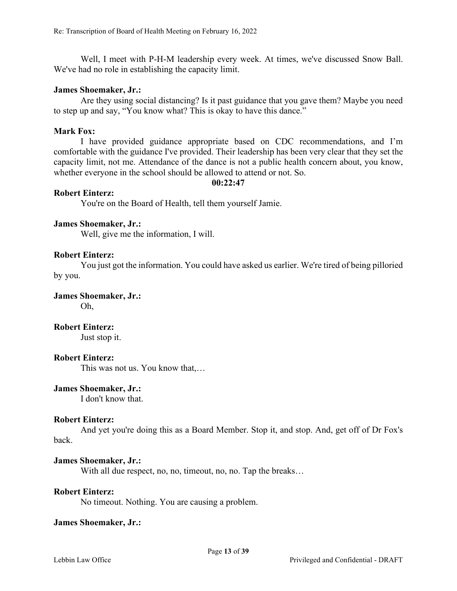Well, I meet with P-H-M leadership every week. At times, we've discussed Snow Ball. We've had no role in establishing the capacity limit.

#### **James Shoemaker, Jr.:**

Are they using social distancing? Is it past guidance that you gave them? Maybe you need to step up and say, "You know what? This is okay to have this dance."

#### **Mark Fox:**

I have provided guidance appropriate based on CDC recommendations, and I'm comfortable with the guidance I've provided. Their leadership has been very clear that they set the capacity limit, not me. Attendance of the dance is not a public health concern about, you know, whether everyone in the school should be allowed to attend or not. So.

#### **00:22:47**

#### **Robert Einterz:**

You're on the Board of Health, tell them yourself Jamie.

#### **James Shoemaker, Jr.:**

Well, give me the information, I will.

#### **Robert Einterz:**

You just got the information. You could have asked us earlier. We're tired of being pilloried by you.

**James Shoemaker, Jr.:**

Oh,

**Robert Einterz:**

Just stop it.

#### **Robert Einterz:**

This was not us. You know that,…

# **James Shoemaker, Jr.:**

I don't know that.

#### **Robert Einterz:**

And yet you're doing this as a Board Member. Stop it, and stop. And, get off of Dr Fox's back.

#### **James Shoemaker, Jr.:**

With all due respect, no, no, timeout, no, no. Tap the breaks...

### **Robert Einterz:**

No timeout. Nothing. You are causing a problem.

#### **James Shoemaker, Jr.:**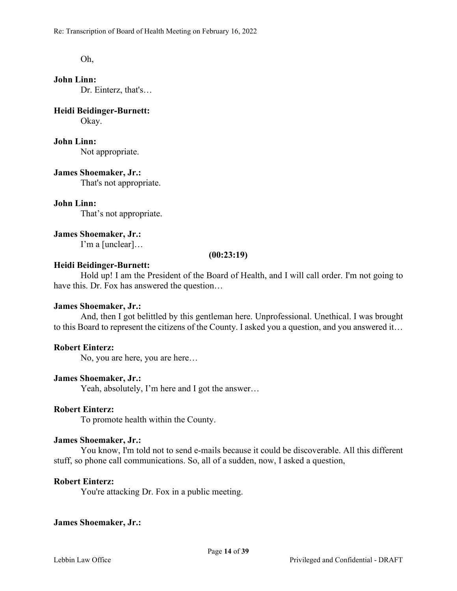Re: Transcription of Board of Health Meeting on February 16, 2022

Oh,

**John Linn:** Dr. Einterz, that's…

**Heidi Beidinger-Burnett:** Okay.

### **John Linn:**

Not appropriate.

**James Shoemaker, Jr.:** That's not appropriate.

**John Linn:**

That's not appropriate.

**James Shoemaker, Jr.:**

I'm a [unclear]…

#### **(00:23:19)**

# **Heidi Beidinger-Burnett:**

Hold up! I am the President of the Board of Health, and I will call order. I'm not going to have this. Dr. Fox has answered the question…

### **James Shoemaker, Jr.:**

And, then I got belittled by this gentleman here. Unprofessional. Unethical. I was brought to this Board to represent the citizens of the County. I asked you a question, and you answered it…

# **Robert Einterz:**

No, you are here, you are here…

# **James Shoemaker, Jr.:**

Yeah, absolutely, I'm here and I got the answer…

### **Robert Einterz:**

To promote health within the County.

### **James Shoemaker, Jr.:**

You know, I'm told not to send e-mails because it could be discoverable. All this different stuff, so phone call communications. So, all of a sudden, now, I asked a question,

### **Robert Einterz:**

You're attacking Dr. Fox in a public meeting.

### **James Shoemaker, Jr.:**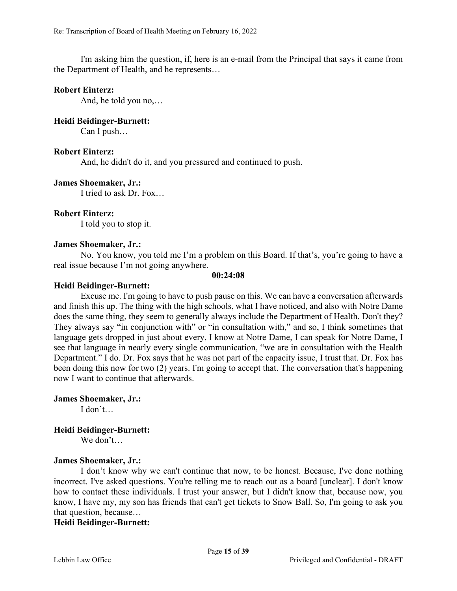I'm asking him the question, if, here is an e-mail from the Principal that says it came from the Department of Health, and he represents…

## **Robert Einterz:**

And, he told you no,…

# **Heidi Beidinger-Burnett:**

Can I push…

## **Robert Einterz:**

And, he didn't do it, and you pressured and continued to push.

## **James Shoemaker, Jr.:**

I tried to ask Dr. Fox…

## **Robert Einterz:**

I told you to stop it.

### **James Shoemaker, Jr.:**

No. You know, you told me I'm a problem on this Board. If that's, you're going to have a real issue because I'm not going anywhere.

#### **00:24:08**

## **Heidi Beidinger-Burnett:**

Excuse me. I'm going to have to push pause on this. We can have a conversation afterwards and finish this up. The thing with the high schools, what I have noticed, and also with Notre Dame does the same thing, they seem to generally always include the Department of Health. Don't they? They always say "in conjunction with" or "in consultation with," and so, I think sometimes that language gets dropped in just about every, I know at Notre Dame, I can speak for Notre Dame, I see that language in nearly every single communication, "we are in consultation with the Health Department." I do. Dr. Fox says that he was not part of the capacity issue, I trust that. Dr. Fox has been doing this now for two (2) years. I'm going to accept that. The conversation that's happening now I want to continue that afterwards.

**James Shoemaker, Jr.:**

I don't…

# **Heidi Beidinger-Burnett:**

We don't…

### **James Shoemaker, Jr.:**

I don't know why we can't continue that now, to be honest. Because, I've done nothing incorrect. I've asked questions. You're telling me to reach out as a board [unclear]. I don't know how to contact these individuals. I trust your answer, but I didn't know that, because now, you know, I have my, my son has friends that can't get tickets to Snow Ball. So, I'm going to ask you that question, because…

## **Heidi Beidinger-Burnett:**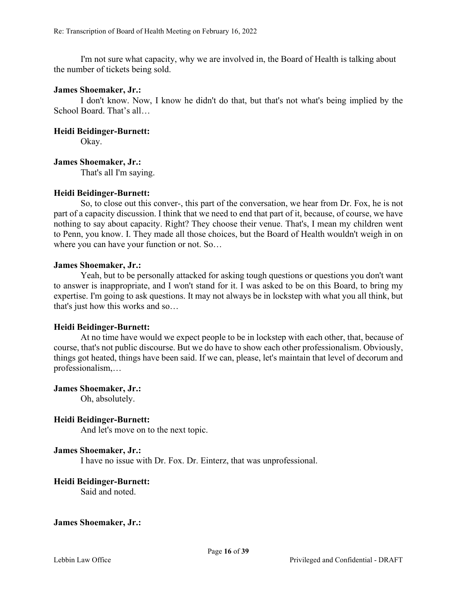I'm not sure what capacity, why we are involved in, the Board of Health is talking about the number of tickets being sold.

#### **James Shoemaker, Jr.:**

I don't know. Now, I know he didn't do that, but that's not what's being implied by the School Board. That's all…

#### **Heidi Beidinger-Burnett:**

Okay.

## **James Shoemaker, Jr.:**

That's all I'm saying.

### **Heidi Beidinger-Burnett:**

So, to close out this conver-, this part of the conversation, we hear from Dr. Fox, he is not part of a capacity discussion. I think that we need to end that part of it, because, of course, we have nothing to say about capacity. Right? They choose their venue. That's, I mean my children went to Penn, you know. I. They made all those choices, but the Board of Health wouldn't weigh in on where you can have your function or not. So…

#### **James Shoemaker, Jr.:**

Yeah, but to be personally attacked for asking tough questions or questions you don't want to answer is inappropriate, and I won't stand for it. I was asked to be on this Board, to bring my expertise. I'm going to ask questions. It may not always be in lockstep with what you all think, but that's just how this works and so…

### **Heidi Beidinger-Burnett:**

At no time have would we expect people to be in lockstep with each other, that, because of course, that's not public discourse. But we do have to show each other professionalism. Obviously, things got heated, things have been said. If we can, please, let's maintain that level of decorum and professionalism,…

### **James Shoemaker, Jr.:**

Oh, absolutely.

### **Heidi Beidinger-Burnett:**

And let's move on to the next topic.

### **James Shoemaker, Jr.:**

I have no issue with Dr. Fox. Dr. Einterz, that was unprofessional.

### **Heidi Beidinger-Burnett:**

Said and noted.

#### **James Shoemaker, Jr.:**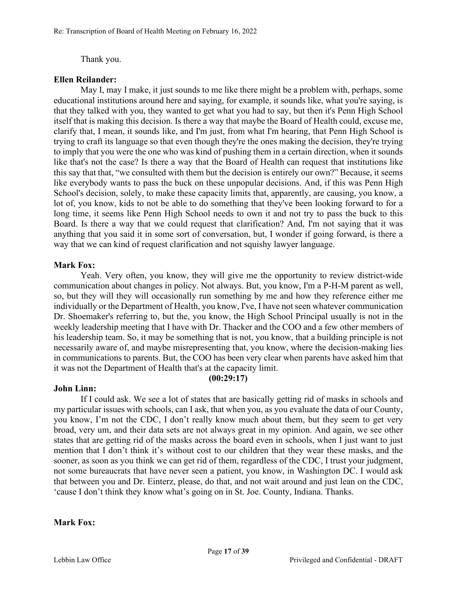### Thank you.

### **Ellen Reilander:**

May I, may I make, it just sounds to me like there might be a problem with, perhaps, some educational institutions around here and saying, for example, it sounds like, what you're saying, is that they talked with you, they wanted to get what you had to say, but then it's Penn High School itself that is making this decision. Is there a way that maybe the Board of Health could, excuse me, clarify that, I mean, it sounds like, and I'm just, from what I'm hearing, that Penn High School is trying to craft its language so that even though they're the ones making the decision, they're trying to imply that you were the one who was kind of pushing them in a certain direction, when it sounds like that's not the case? Is there a way that the Board of Health can request that institutions like this say that that, "we consulted with them but the decision is entirely our own?" Because, it seems like everybody wants to pass the buck on these unpopular decisions. And, if this was Penn High School's decision, solely, to make these capacity limits that, apparently, are causing, you know, a lot of, you know, kids to not be able to do something that they've been looking forward to for a long time, it seems like Penn High School needs to own it and not try to pass the buck to this Board. Is there a way that we could request that clarification? And, I'm not saying that it was anything that you said it in some sort of conversation, but, I wonder if going forward, is there a way that we can kind of request clarification and not squishy lawyer language.

## **Mark Fox:**

Yeah. Very often, you know, they will give me the opportunity to review district-wide communication about changes in policy. Not always. But, you know, I'm a P-H-M parent as well, so, but they will they will occasionally run something by me and how they reference either me individually or the Department of Health, you know, I've, I have not seen whatever communication Dr. Shoemaker's referring to, but the, you know, the High School Principal usually is not in the weekly leadership meeting that I have with Dr. Thacker and the COO and a few other members of his leadership team. So, it may be something that is not, you know, that a building principle is not necessarily aware of, and maybe misrepresenting that, you know, where the decision-making lies in communications to parents. But, the COO has been very clear when parents have asked him that it was not the Department of Health that's at the capacity limit.

**(00:29:17)**

# **John Linn:**

If I could ask. We see a lot of states that are basically getting rid of masks in schools and my particular issues with schools, can I ask, that when you, as you evaluate the data of our County, you know, I'm not the CDC, I don't really know much about them, but they seem to get very broad, very um, and their data sets are not always great in my opinion. And again, we see other states that are getting rid of the masks across the board even in schools, when I just want to just mention that I don't think it's without cost to our children that they wear these masks, and the sooner, as soon as you think we can get rid of them, regardless of the CDC, I trust your judgment, not some bureaucrats that have never seen a patient, you know, in Washington DC. I would ask that between you and Dr. Einterz, please, do that, and not wait around and just lean on the CDC, 'cause I don't think they know what's going on in St. Joe. County, Indiana. Thanks.

### **Mark Fox:**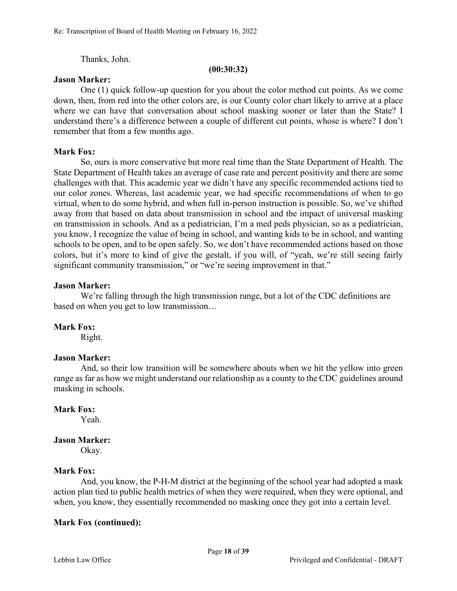Thanks, John.

#### **(00:30:32)**

#### **Jason Marker:**

One (1) quick follow-up question for you about the color method cut points. As we come down, then, from red into the other colors are, is our County color chart likely to arrive at a place where we can have that conversation about school masking sooner or later than the State? I understand there's a difference between a couple of different cut points, whose is where? I don't remember that from a few months ago.

### **Mark Fox:**

So, ours is more conservative but more real time than the State Department of Health. The State Department of Health takes an average of case rate and percent positivity and there are some challenges with that. This academic year we didn't have any specific recommended actions tied to our color zones. Whereas, last academic year, we had specific recommendations of when to go virtual, when to do some hybrid, and when full in-person instruction is possible. So, we've shifted away from that based on data about transmission in school and the impact of universal masking on transmission in schools. And as a pediatrician, I'm a med peds physician, so as a pediatrician, you know, I recognize the value of being in school, and wanting kids to be in school, and wanting schools to be open, and to be open safely. So, we don't have recommended actions based on those colors, but it's more to kind of give the gestalt, if you will, of "yeah, we're still seeing fairly significant community transmission," or "we're seeing improvement in that."

#### **Jason Marker:**

We're falling through the high transmission range, but a lot of the CDC definitions are based on when you get to low transmission…

### **Mark Fox:**

Right.

### **Jason Marker:**

And, so their low transition will be somewhere abouts when we hit the yellow into green range as far as how we might understand our relationship as a county to the CDC guidelines around masking in schools.

### **Mark Fox:**

Yeah.

### **Jason Marker:**

Okay.

### **Mark Fox:**

And, you know, the P-H-M district at the beginning of the school year had adopted a mask action plan tied to public health metrics of when they were required, when they were optional, and when, you know, they essentially recommended no masking once they got into a certain level.

### **Mark Fox (continued):**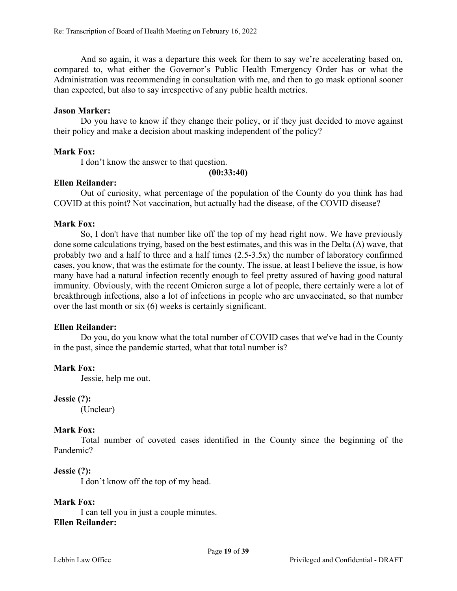And so again, it was a departure this week for them to say we're accelerating based on, compared to, what either the Governor's Public Health Emergency Order has or what the Administration was recommending in consultation with me, and then to go mask optional sooner than expected, but also to say irrespective of any public health metrics.

## **Jason Marker:**

Do you have to know if they change their policy, or if they just decided to move against their policy and make a decision about masking independent of the policy?

# **Mark Fox:**

I don't know the answer to that question.

**(00:33:40)**

## **Ellen Reilander:**

Out of curiosity, what percentage of the population of the County do you think has had COVID at this point? Not vaccination, but actually had the disease, of the COVID disease?

## **Mark Fox:**

So, I don't have that number like off the top of my head right now. We have previously done some calculations trying, based on the best estimates, and this was in the Delta  $(\Delta)$  wave, that probably two and a half to three and a half times (2.5-3.5x) the number of laboratory confirmed cases, you know, that was the estimate for the county. The issue, at least I believe the issue, is how many have had a natural infection recently enough to feel pretty assured of having good natural immunity. Obviously, with the recent Omicron surge a lot of people, there certainly were a lot of breakthrough infections, also a lot of infections in people who are unvaccinated, so that number over the last month or six (6) weeks is certainly significant.

### **Ellen Reilander:**

Do you, do you know what the total number of COVID cases that we've had in the County in the past, since the pandemic started, what that total number is?

# **Mark Fox:**

Jessie, help me out.

### **Jessie (?):**

(Unclear)

# **Mark Fox:**

Total number of coveted cases identified in the County since the beginning of the Pandemic?

# **Jessie (?):**

I don't know off the top of my head.

# **Mark Fox:**

I can tell you in just a couple minutes.

# **Ellen Reilander:**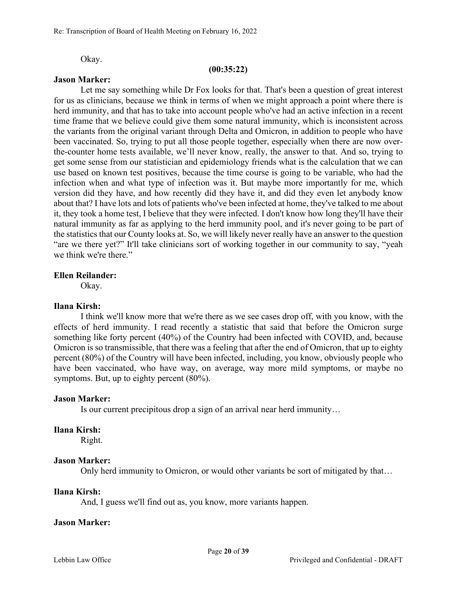Okay.

#### **(00:35:22)**

#### **Jason Marker:**

Let me say something while Dr Fox looks for that. That's been a question of great interest for us as clinicians, because we think in terms of when we might approach a point where there is herd immunity, and that has to take into account people who've had an active infection in a recent time frame that we believe could give them some natural immunity, which is inconsistent across the variants from the original variant through Delta and Omicron, in addition to people who have been vaccinated. So, trying to put all those people together, especially when there are now overthe-counter home tests available, we'll never know, really, the answer to that. And so, trying to get some sense from our statistician and epidemiology friends what is the calculation that we can use based on known test positives, because the time course is going to be variable, who had the infection when and what type of infection was it. But maybe more importantly for me, which version did they have, and how recently did they have it, and did they even let anybody know about that? I have lots and lots of patients who've been infected at home, they've talked to me about it, they took a home test, I believe that they were infected. I don't know how long they'll have their natural immunity as far as applying to the herd immunity pool, and it's never going to be part of the statistics that our County looks at. So, we will likely never really have an answer to the question "are we there yet?" It'll take clinicians sort of working together in our community to say, "yeah we think we're there."

#### **Ellen Reilander:**

Okay.

### **Ilana Kirsh:**

I think we'll know more that we're there as we see cases drop off, with you know, with the effects of herd immunity. I read recently a statistic that said that before the Omicron surge something like forty percent (40%) of the Country had been infected with COVID, and, because Omicron is so transmissible, that there was a feeling that after the end of Omicron, that up to eighty percent (80%) of the Country will have been infected, including, you know, obviously people who have been vaccinated, who have way, on average, way more mild symptoms, or maybe no symptoms. But, up to eighty percent (80%).

#### **Jason Marker:**

Is our current precipitous drop a sign of an arrival near herd immunity…

#### **Ilana Kirsh:**

Right.

#### **Jason Marker:**

Only herd immunity to Omicron, or would other variants be sort of mitigated by that…

#### **Ilana Kirsh:**

And, I guess we'll find out as, you know, more variants happen.

#### **Jason Marker:**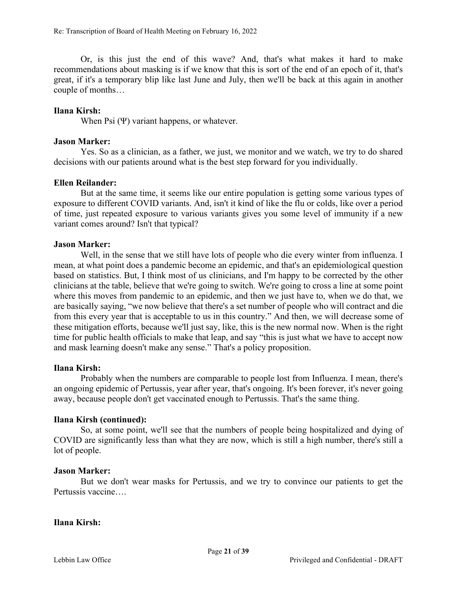Or, is this just the end of this wave? And, that's what makes it hard to make recommendations about masking is if we know that this is sort of the end of an epoch of it, that's great, if it's a temporary blip like last June and July, then we'll be back at this again in another couple of months…

# **Ilana Kirsh:**

When Psi (Ψ) variant happens, or whatever.

## **Jason Marker:**

Yes. So as a clinician, as a father, we just, we monitor and we watch, we try to do shared decisions with our patients around what is the best step forward for you individually.

## **Ellen Reilander:**

But at the same time, it seems like our entire population is getting some various types of exposure to different COVID variants. And, isn't it kind of like the flu or colds, like over a period of time, just repeated exposure to various variants gives you some level of immunity if a new variant comes around? Isn't that typical?

## **Jason Marker:**

Well, in the sense that we still have lots of people who die every winter from influenza. I mean, at what point does a pandemic become an epidemic, and that's an epidemiological question based on statistics. But, I think most of us clinicians, and I'm happy to be corrected by the other clinicians at the table, believe that we're going to switch. We're going to cross a line at some point where this moves from pandemic to an epidemic, and then we just have to, when we do that, we are basically saying, "we now believe that there's a set number of people who will contract and die from this every year that is acceptable to us in this country." And then, we will decrease some of these mitigation efforts, because we'll just say, like, this is the new normal now. When is the right time for public health officials to make that leap, and say "this is just what we have to accept now and mask learning doesn't make any sense." That's a policy proposition.

### **Ilana Kirsh:**

Probably when the numbers are comparable to people lost from Influenza. I mean, there's an ongoing epidemic of Pertussis, year after year, that's ongoing. It's been forever, it's never going away, because people don't get vaccinated enough to Pertussis. That's the same thing.

### **Ilana Kirsh (continued):**

So, at some point, we'll see that the numbers of people being hospitalized and dying of COVID are significantly less than what they are now, which is still a high number, there's still a lot of people.

### **Jason Marker:**

But we don't wear masks for Pertussis, and we try to convince our patients to get the Pertussis vaccine….

### **Ilana Kirsh:**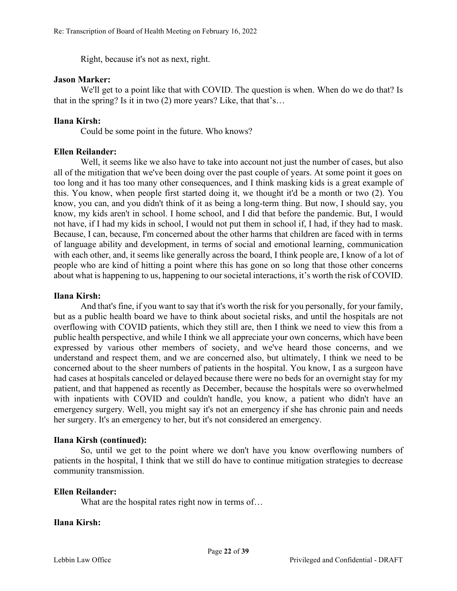Right, because it's not as next, right.

#### **Jason Marker:**

We'll get to a point like that with COVID. The question is when. When do we do that? Is that in the spring? Is it in two (2) more years? Like, that that's…

## **Ilana Kirsh:**

Could be some point in the future. Who knows?

### **Ellen Reilander:**

Well, it seems like we also have to take into account not just the number of cases, but also all of the mitigation that we've been doing over the past couple of years. At some point it goes on too long and it has too many other consequences, and I think masking kids is a great example of this. You know, when people first started doing it, we thought it'd be a month or two (2). You know, you can, and you didn't think of it as being a long-term thing. But now, I should say, you know, my kids aren't in school. I home school, and I did that before the pandemic. But, I would not have, if I had my kids in school, I would not put them in school if, I had, if they had to mask. Because, I can, because, I'm concerned about the other harms that children are faced with in terms of language ability and development, in terms of social and emotional learning, communication with each other, and, it seems like generally across the board, I think people are, I know of a lot of people who are kind of hitting a point where this has gone on so long that those other concerns about what is happening to us, happening to our societal interactions, it's worth the risk of COVID.

### **Ilana Kirsh:**

And that's fine, if you want to say that it's worth the risk for you personally, for your family, but as a public health board we have to think about societal risks, and until the hospitals are not overflowing with COVID patients, which they still are, then I think we need to view this from a public health perspective, and while I think we all appreciate your own concerns, which have been expressed by various other members of society, and we've heard those concerns, and we understand and respect them, and we are concerned also, but ultimately, I think we need to be concerned about to the sheer numbers of patients in the hospital. You know, I as a surgeon have had cases at hospitals canceled or delayed because there were no beds for an overnight stay for my patient, and that happened as recently as December, because the hospitals were so overwhelmed with inpatients with COVID and couldn't handle, you know, a patient who didn't have an emergency surgery. Well, you might say it's not an emergency if she has chronic pain and needs her surgery. It's an emergency to her, but it's not considered an emergency.

### **Ilana Kirsh (continued):**

So, until we get to the point where we don't have you know overflowing numbers of patients in the hospital, I think that we still do have to continue mitigation strategies to decrease community transmission.

### **Ellen Reilander:**

What are the hospital rates right now in terms of...

### **Ilana Kirsh:**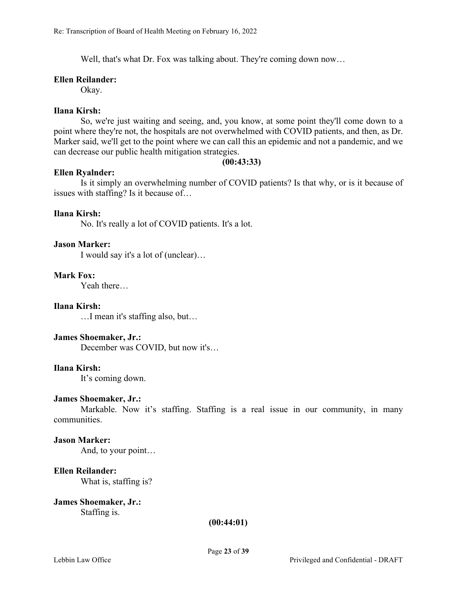Well, that's what Dr. Fox was talking about. They're coming down now...

#### **Ellen Reilander:**

Okay.

### **Ilana Kirsh:**

So, we're just waiting and seeing, and, you know, at some point they'll come down to a point where they're not, the hospitals are not overwhelmed with COVID patients, and then, as Dr. Marker said, we'll get to the point where we can call this an epidemic and not a pandemic, and we can decrease our public health mitigation strategies.

#### **(00:43:33)**

### **Ellen Ryalnder:**

Is it simply an overwhelming number of COVID patients? Is that why, or is it because of issues with staffing? Is it because of…

### **Ilana Kirsh:**

No. It's really a lot of COVID patients. It's a lot.

## **Jason Marker:**

I would say it's a lot of (unclear)…

### **Mark Fox:**

Yeah there…

### **Ilana Kirsh:**

…I mean it's staffing also, but…

### **James Shoemaker, Jr.:**

December was COVID, but now it's…

### **Ilana Kirsh:**

It's coming down.

### **James Shoemaker, Jr.:**

Markable. Now it's staffing. Staffing is a real issue in our community, in many communities.

### **Jason Marker:**

And, to your point…

# **Ellen Reilander:**

What is, staffing is?

#### **James Shoemaker, Jr.:** Staffing is.

#### **(00:44:01)**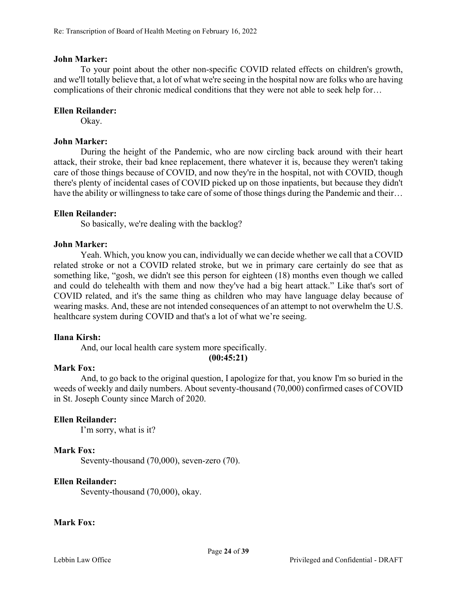### **John Marker:**

To your point about the other non-specific COVID related effects on children's growth, and we'll totally believe that, a lot of what we're seeing in the hospital now are folks who are having complications of their chronic medical conditions that they were not able to seek help for…

# **Ellen Reilander:**

Okay.

# **John Marker:**

During the height of the Pandemic, who are now circling back around with their heart attack, their stroke, their bad knee replacement, there whatever it is, because they weren't taking care of those things because of COVID, and now they're in the hospital, not with COVID, though there's plenty of incidental cases of COVID picked up on those inpatients, but because they didn't have the ability or willingness to take care of some of those things during the Pandemic and their...

## **Ellen Reilander:**

So basically, we're dealing with the backlog?

## **John Marker:**

Yeah. Which, you know you can, individually we can decide whether we call that a COVID related stroke or not a COVID related stroke, but we in primary care certainly do see that as something like, "gosh, we didn't see this person for eighteen (18) months even though we called and could do telehealth with them and now they've had a big heart attack." Like that's sort of COVID related, and it's the same thing as children who may have language delay because of wearing masks. And, these are not intended consequences of an attempt to not overwhelm the U.S. healthcare system during COVID and that's a lot of what we're seeing.

# **Ilana Kirsh:**

And, our local health care system more specifically.

**(00:45:21)**

# **Mark Fox:**

And, to go back to the original question, I apologize for that, you know I'm so buried in the weeds of weekly and daily numbers. About seventy-thousand (70,000) confirmed cases of COVID in St. Joseph County since March of 2020.

# **Ellen Reilander:**

I'm sorry, what is it?

# **Mark Fox:**

Seventy-thousand (70,000), seven-zero (70).

# **Ellen Reilander:**

Seventy-thousand (70,000), okay.

### **Mark Fox:**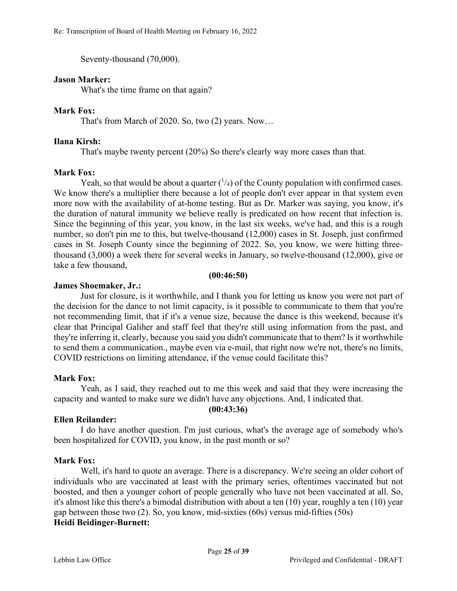Seventy-thousand (70,000).

#### **Jason Marker:**

What's the time frame on that again?

### **Mark Fox:**

That's from March of 2020. So, two (2) years. Now…

### **Ilana Kirsh:**

That's maybe twenty percent (20%) So there's clearly way more cases than that.

#### **Mark Fox:**

Yeah, so that would be about a quarter  $\binom{1}{4}$  of the County population with confirmed cases. We know there's a multiplier there because a lot of people don't ever appear in that system even more now with the availability of at-home testing. But as Dr. Marker was saying, you know, it's the duration of natural immunity we believe really is predicated on how recent that infection is. Since the beginning of this year, you know, in the last six weeks, we've had, and this is a rough number, so don't pin me to this, but twelve-thousand (12,000) cases in St. Joseph, just confirmed cases in St. Joseph County since the beginning of 2022. So, you know, we were hitting threethousand (3,000) a week there for several weeks in January, so twelve-thousand (12,000), give or take a few thousand,

#### **(00:46:50)**

## **James Shoemaker, Jr.:**

Just for closure, is it worthwhile, and I thank you for letting us know you were not part of the decision for the dance to not limit capacity, is it possible to communicate to them that you're not recommending limit, that if it's a venue size, because the dance is this weekend, because it's clear that Principal Galiher and staff feel that they're still using information from the past, and they're inferring it, clearly, because you said you didn't communicate that to them? Is it worthwhile to send them a communication., maybe even via e-mail, that right now we're not, there's no limits, COVID restrictions on limiting attendance, if the venue could facilitate this?

### **Mark Fox:**

Yeah, as I said, they reached out to me this week and said that they were increasing the capacity and wanted to make sure we didn't have any objections. And, I indicated that. **(00:43:36)**

# **Ellen Reilander:**

I do have another question. I'm just curious, what's the average age of somebody who's been hospitalized for COVID, you know, in the past month or so?

### **Mark Fox:**

Well, it's hard to quote an average. There is a discrepancy. We're seeing an older cohort of individuals who are vaccinated at least with the primary series, oftentimes vaccinated but not boosted, and then a younger cohort of people generally who have not been vaccinated at all. So, it's almost like this there's a bimodal distribution with about a ten (10) year, roughly a ten (10) year gap between those two (2). So, you know, mid-sixties (60s) versus mid-fifties (50s) **Heidi Beidinger-Burnett:**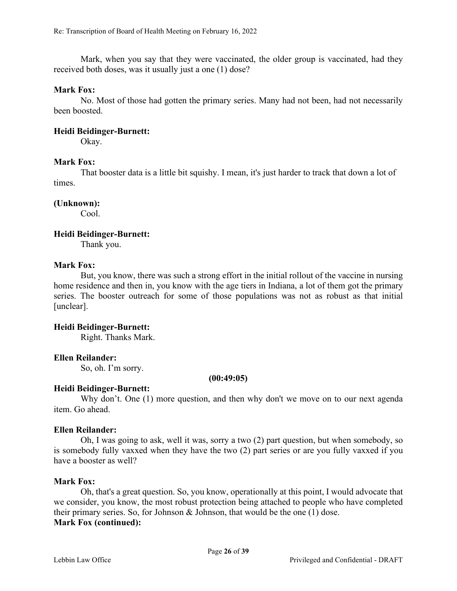Mark, when you say that they were vaccinated, the older group is vaccinated, had they received both doses, was it usually just a one (1) dose?

#### **Mark Fox:**

No. Most of those had gotten the primary series. Many had not been, had not necessarily been boosted.

#### **Heidi Beidinger-Burnett:**

Okay.

### **Mark Fox:**

That booster data is a little bit squishy. I mean, it's just harder to track that down a lot of times.

#### **(Unknown):**

Cool.

#### **Heidi Beidinger-Burnett:**

Thank you.

#### **Mark Fox:**

But, you know, there was such a strong effort in the initial rollout of the vaccine in nursing home residence and then in, you know with the age tiers in Indiana, a lot of them got the primary series. The booster outreach for some of those populations was not as robust as that initial [unclear].

### **Heidi Beidinger-Burnett:**

Right. Thanks Mark.

### **Ellen Reilander:**

So, oh. I'm sorry.

**(00:49:05)**

### **Heidi Beidinger-Burnett:**

Why don't. One (1) more question, and then why don't we move on to our next agenda item. Go ahead.

#### **Ellen Reilander:**

Oh, I was going to ask, well it was, sorry a two (2) part question, but when somebody, so is somebody fully vaxxed when they have the two (2) part series or are you fully vaxxed if you have a booster as well?

#### **Mark Fox:**

Oh, that's a great question. So, you know, operationally at this point, I would advocate that we consider, you know, the most robust protection being attached to people who have completed their primary series. So, for Johnson & Johnson, that would be the one (1) dose. **Mark Fox (continued):**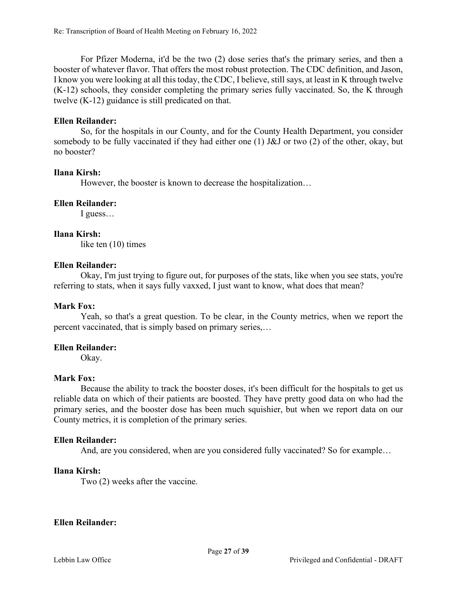For Pfizer Moderna, it'd be the two (2) dose series that's the primary series, and then a booster of whatever flavor. That offers the most robust protection. The CDC definition, and Jason, I know you were looking at all this today, the CDC, I believe, still says, at least in K through twelve (K-12) schools, they consider completing the primary series fully vaccinated. So, the K through twelve (K-12) guidance is still predicated on that.

## **Ellen Reilander:**

So, for the hospitals in our County, and for the County Health Department, you consider somebody to be fully vaccinated if they had either one (1) J&J or two (2) of the other, okay, but no booster?

## **Ilana Kirsh:**

However, the booster is known to decrease the hospitalization…

## **Ellen Reilander:**

I guess…

## **Ilana Kirsh:**

like ten (10) times

## **Ellen Reilander:**

Okay, I'm just trying to figure out, for purposes of the stats, like when you see stats, you're referring to stats, when it says fully vaxxed, I just want to know, what does that mean?

# **Mark Fox:**

Yeah, so that's a great question. To be clear, in the County metrics, when we report the percent vaccinated, that is simply based on primary series,…

# **Ellen Reilander:**

Okay.

### **Mark Fox:**

Because the ability to track the booster doses, it's been difficult for the hospitals to get us reliable data on which of their patients are boosted. They have pretty good data on who had the primary series, and the booster dose has been much squishier, but when we report data on our County metrics, it is completion of the primary series.

# **Ellen Reilander:**

And, are you considered, when are you considered fully vaccinated? So for example…

### **Ilana Kirsh:**

Two (2) weeks after the vaccine.

### **Ellen Reilander:**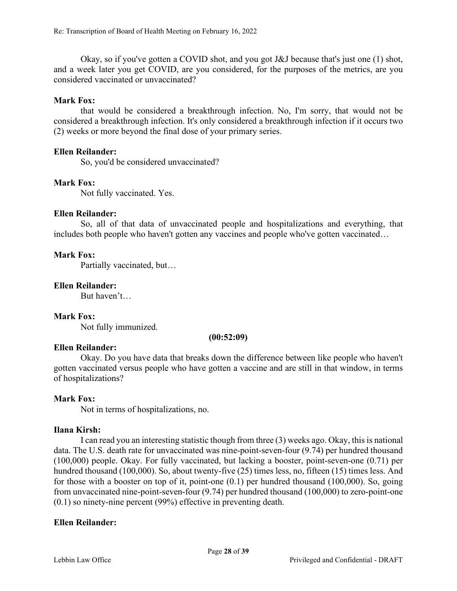Okay, so if you've gotten a COVID shot, and you got J&J because that's just one (1) shot, and a week later you get COVID, are you considered, for the purposes of the metrics, are you considered vaccinated or unvaccinated?

# **Mark Fox:**

that would be considered a breakthrough infection. No, I'm sorry, that would not be considered a breakthrough infection. It's only considered a breakthrough infection if it occurs two (2) weeks or more beyond the final dose of your primary series.

# **Ellen Reilander:**

So, you'd be considered unvaccinated?

# **Mark Fox:**

Not fully vaccinated. Yes.

# **Ellen Reilander:**

So, all of that data of unvaccinated people and hospitalizations and everything, that includes both people who haven't gotten any vaccines and people who've gotten vaccinated…

# **Mark Fox:**

Partially vaccinated, but…

# **Ellen Reilander:**

But haven't…

# **Mark Fox:**

Not fully immunized.

### **(00:52:09)**

# **Ellen Reilander:**

Okay. Do you have data that breaks down the difference between like people who haven't gotten vaccinated versus people who have gotten a vaccine and are still in that window, in terms of hospitalizations?

# **Mark Fox:**

Not in terms of hospitalizations, no.

# **Ilana Kirsh:**

I can read you an interesting statistic though from three (3) weeks ago. Okay, this is national data. The U.S. death rate for unvaccinated was nine-point-seven-four (9.74) per hundred thousand (100,000) people. Okay. For fully vaccinated, but lacking a booster, point-seven-one (0.71) per hundred thousand (100,000). So, about twenty-five (25) times less, no, fifteen (15) times less. And for those with a booster on top of it, point-one (0.1) per hundred thousand (100,000). So, going from unvaccinated nine-point-seven-four (9.74) per hundred thousand (100,000) to zero-point-one (0.1) so ninety-nine percent (99%) effective in preventing death.

# **Ellen Reilander:**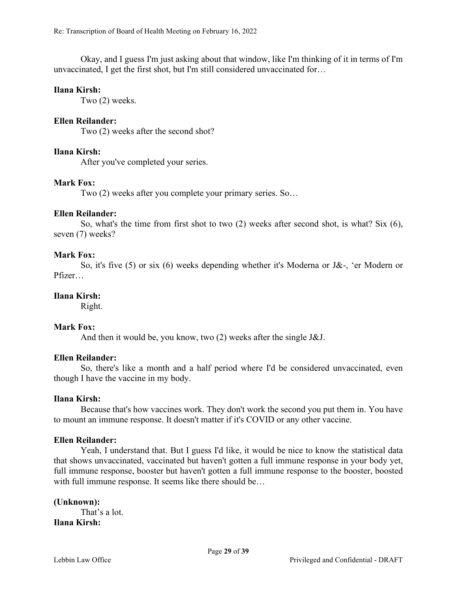Okay, and I guess I'm just asking about that window, like I'm thinking of it in terms of I'm unvaccinated, I get the first shot, but I'm still considered unvaccinated for…

#### **Ilana Kirsh:**

Two (2) weeks.

### **Ellen Reilander:**

Two (2) weeks after the second shot?

#### **Ilana Kirsh:**

After you've completed your series.

### **Mark Fox:**

Two (2) weeks after you complete your primary series. So…

#### **Ellen Reilander:**

So, what's the time from first shot to two (2) weeks after second shot, is what? Six (6), seven (7) weeks?

#### **Mark Fox:**

So, it's five (5) or six (6) weeks depending whether it's Moderna or J&-, 'er Modern or Pfizer…

### **Ilana Kirsh:**

Right.

#### **Mark Fox:**

And then it would be, you know, two (2) weeks after the single J&J.

#### **Ellen Reilander:**

So, there's like a month and a half period where I'd be considered unvaccinated, even though I have the vaccine in my body.

#### **Ilana Kirsh:**

Because that's how vaccines work. They don't work the second you put them in. You have to mount an immune response. It doesn't matter if it's COVID or any other vaccine.

### **Ellen Reilander:**

Yeah, I understand that. But I guess I'd like, it would be nice to know the statistical data that shows unvaccinated, vaccinated but haven't gotten a full immune response in your body yet, full immune response, booster but haven't gotten a full immune response to the booster, boosted with full immune response. It seems like there should be...

### **(Unknown):**

That's a lot. **Ilana Kirsh:**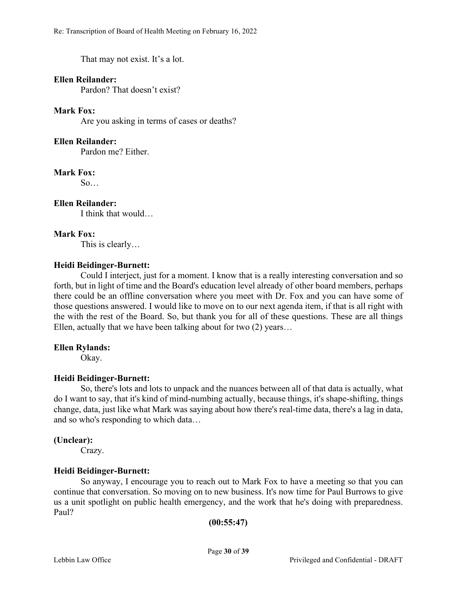That may not exist. It's a lot.

# **Ellen Reilander:**

Pardon? That doesn't exist?

# **Mark Fox:**

Are you asking in terms of cases or deaths?

# **Ellen Reilander:**

Pardon me? Either.

# **Mark Fox:**

 $So...$ 

# **Ellen Reilander:**

I think that would…

# **Mark Fox:**

This is clearly…

# **Heidi Beidinger-Burnett:**

Could I interject, just for a moment. I know that is a really interesting conversation and so forth, but in light of time and the Board's education level already of other board members, perhaps there could be an offline conversation where you meet with Dr. Fox and you can have some of those questions answered. I would like to move on to our next agenda item, if that is all right with the with the rest of the Board. So, but thank you for all of these questions. These are all things Ellen, actually that we have been talking about for two (2) years…

# **Ellen Rylands:**

Okay.

# **Heidi Beidinger-Burnett:**

So, there's lots and lots to unpack and the nuances between all of that data is actually, what do I want to say, that it's kind of mind-numbing actually, because things, it's shape-shifting, things change, data, just like what Mark was saying about how there's real-time data, there's a lag in data, and so who's responding to which data…

# **(Unclear):**

Crazy.

# **Heidi Beidinger-Burnett:**

So anyway, I encourage you to reach out to Mark Fox to have a meeting so that you can continue that conversation. So moving on to new business. It's now time for Paul Burrows to give us a unit spotlight on public health emergency, and the work that he's doing with preparedness. Paul?

```
(00:55:47)
```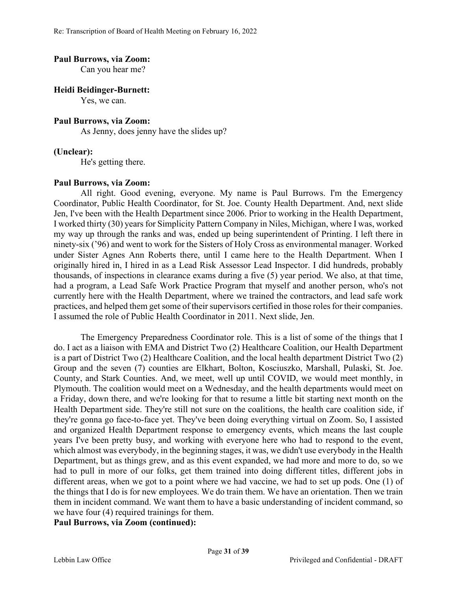#### **Paul Burrows, via Zoom:**

Can you hear me?

#### **Heidi Beidinger-Burnett:**

Yes, we can.

### **Paul Burrows, via Zoom:**

As Jenny, does jenny have the slides up?

#### **(Unclear):**

He's getting there.

#### **Paul Burrows, via Zoom:**

All right. Good evening, everyone. My name is Paul Burrows. I'm the Emergency Coordinator, Public Health Coordinator, for St. Joe. County Health Department. And, next slide Jen, I've been with the Health Department since 2006. Prior to working in the Health Department, I worked thirty (30) years for Simplicity Pattern Company in Niles, Michigan, where I was, worked my way up through the ranks and was, ended up being superintendent of Printing. I left there in ninety-six ('96) and went to work for the Sisters of Holy Cross as environmental manager. Worked under Sister Agnes Ann Roberts there, until I came here to the Health Department. When I originally hired in, I hired in as a Lead Risk Assessor Lead Inspector. I did hundreds, probably thousands, of inspections in clearance exams during a five (5) year period. We also, at that time, had a program, a Lead Safe Work Practice Program that myself and another person, who's not currently here with the Health Department, where we trained the contractors, and lead safe work practices, and helped them get some of their supervisors certified in those roles for their companies. I assumed the role of Public Health Coordinator in 2011. Next slide, Jen.

The Emergency Preparedness Coordinator role. This is a list of some of the things that I do. I act as a liaison with EMA and District Two (2) Healthcare Coalition, our Health Department is a part of District Two (2) Healthcare Coalition, and the local health department District Two (2) Group and the seven (7) counties are Elkhart, Bolton, Kosciuszko, Marshall, Pulaski, St. Joe. County, and Stark Counties. And, we meet, well up until COVID, we would meet monthly, in Plymouth. The coalition would meet on a Wednesday, and the health departments would meet on a Friday, down there, and we're looking for that to resume a little bit starting next month on the Health Department side. They're still not sure on the coalitions, the health care coalition side, if they're gonna go face-to-face yet. They've been doing everything virtual on Zoom. So, I assisted and organized Health Department response to emergency events, which means the last couple years I've been pretty busy, and working with everyone here who had to respond to the event, which almost was everybody, in the beginning stages, it was, we didn't use everybody in the Health Department, but as things grew, and as this event expanded, we had more and more to do, so we had to pull in more of our folks, get them trained into doing different titles, different jobs in different areas, when we got to a point where we had vaccine, we had to set up pods. One (1) of the things that I do is for new employees. We do train them. We have an orientation. Then we train them in incident command. We want them to have a basic understanding of incident command, so we have four (4) required trainings for them.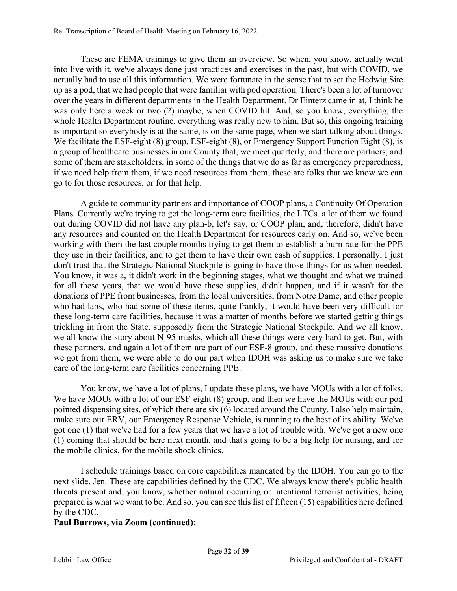These are FEMA trainings to give them an overview. So when, you know, actually went into live with it, we've always done just practices and exercises in the past, but with COVID, we actually had to use all this information. We were fortunate in the sense that to set the Hedwig Site up as a pod, that we had people that were familiar with pod operation. There's been a lot of turnover over the years in different departments in the Health Department. Dr Einterz came in at, I think he was only here a week or two (2) maybe, when COVID hit. And, so you know, everything, the whole Health Department routine, everything was really new to him. But so, this ongoing training is important so everybody is at the same, is on the same page, when we start talking about things. We facilitate the ESF-eight (8) group. ESF-eight (8), or Emergency Support Function Eight (8), is a group of healthcare businesses in our County that, we meet quarterly, and there are partners, and some of them are stakeholders, in some of the things that we do as far as emergency preparedness, if we need help from them, if we need resources from them, these are folks that we know we can go to for those resources, or for that help.

A guide to community partners and importance of COOP plans, a Continuity Of Operation Plans. Currently we're trying to get the long-term care facilities, the LTCs, a lot of them we found out during COVID did not have any plan-b, let's say, or COOP plan, and, therefore, didn't have any resources and counted on the Health Department for resources early on. And so, we've been working with them the last couple months trying to get them to establish a burn rate for the PPE they use in their facilities, and to get them to have their own cash of supplies. I personally, I just don't trust that the Strategic National Stockpile is going to have those things for us when needed. You know, it was a, it didn't work in the beginning stages, what we thought and what we trained for all these years, that we would have these supplies, didn't happen, and if it wasn't for the donations of PPE from businesses, from the local universities, from Notre Dame, and other people who had labs, who had some of these items, quite frankly, it would have been very difficult for these long-term care facilities, because it was a matter of months before we started getting things trickling in from the State, supposedly from the Strategic National Stockpile. And we all know, we all know the story about N-95 masks, which all these things were very hard to get. But, with these partners, and again a lot of them are part of our ESF-8 group, and these massive donations we got from them, we were able to do our part when IDOH was asking us to make sure we take care of the long-term care facilities concerning PPE.

You know, we have a lot of plans, I update these plans, we have MOUs with a lot of folks. We have MOUs with a lot of our ESF-eight (8) group, and then we have the MOUs with our pod pointed dispensing sites, of which there are six (6) located around the County. I also help maintain, make sure our ERV, our Emergency Response Vehicle, is running to the best of its ability. We've got one (1) that we've had for a few years that we have a lot of trouble with. We've got a new one (1) coming that should be here next month, and that's going to be a big help for nursing, and for the mobile clinics, for the mobile shock clinics.

I schedule trainings based on core capabilities mandated by the IDOH. You can go to the next slide, Jen. These are capabilities defined by the CDC. We always know there's public health threats present and, you know, whether natural occurring or intentional terrorist activities, being prepared is what we want to be. And so, you can see this list of fifteen (15) capabilities here defined by the CDC.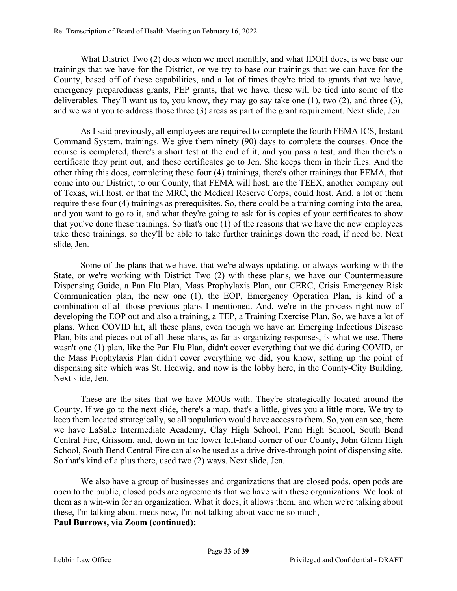What District Two (2) does when we meet monthly, and what IDOH does, is we base our trainings that we have for the District, or we try to base our trainings that we can have for the County, based off of these capabilities, and a lot of times they're tried to grants that we have, emergency preparedness grants, PEP grants, that we have, these will be tied into some of the deliverables. They'll want us to, you know, they may go say take one (1), two (2), and three (3), and we want you to address those three (3) areas as part of the grant requirement. Next slide, Jen

As I said previously, all employees are required to complete the fourth FEMA ICS, Instant Command System, trainings. We give them ninety (90) days to complete the courses. Once the course is completed, there's a short test at the end of it, and you pass a test, and then there's a certificate they print out, and those certificates go to Jen. She keeps them in their files. And the other thing this does, completing these four (4) trainings, there's other trainings that FEMA, that come into our District, to our County, that FEMA will host, are the TEEX, another company out of Texas, will host, or that the MRC, the Medical Reserve Corps, could host. And, a lot of them require these four (4) trainings as prerequisites. So, there could be a training coming into the area, and you want to go to it, and what they're going to ask for is copies of your certificates to show that you've done these trainings. So that's one (1) of the reasons that we have the new employees take these trainings, so they'll be able to take further trainings down the road, if need be. Next slide, Jen.

Some of the plans that we have, that we're always updating, or always working with the State, or we're working with District Two (2) with these plans, we have our Countermeasure Dispensing Guide, a Pan Flu Plan, Mass Prophylaxis Plan, our CERC, Crisis Emergency Risk Communication plan, the new one (1), the EOP, Emergency Operation Plan, is kind of a combination of all those previous plans I mentioned. And, we're in the process right now of developing the EOP out and also a training, a TEP, a Training Exercise Plan. So, we have a lot of plans. When COVID hit, all these plans, even though we have an Emerging Infectious Disease Plan, bits and pieces out of all these plans, as far as organizing responses, is what we use. There wasn't one (1) plan, like the Pan Flu Plan, didn't cover everything that we did during COVID, or the Mass Prophylaxis Plan didn't cover everything we did, you know, setting up the point of dispensing site which was St. Hedwig, and now is the lobby here, in the County-City Building. Next slide, Jen.

These are the sites that we have MOUs with. They're strategically located around the County. If we go to the next slide, there's a map, that's a little, gives you a little more. We try to keep them located strategically, so all population would have access to them. So, you can see, there we have LaSalle Intermediate Academy, Clay High School, Penn High School, South Bend Central Fire, Grissom, and, down in the lower left-hand corner of our County, John Glenn High School, South Bend Central Fire can also be used as a drive drive-through point of dispensing site. So that's kind of a plus there, used two (2) ways. Next slide, Jen.

We also have a group of businesses and organizations that are closed pods, open pods are open to the public, closed pods are agreements that we have with these organizations. We look at them as a win-win for an organization. What it does, it allows them, and when we're talking about these, I'm talking about meds now, I'm not talking about vaccine so much,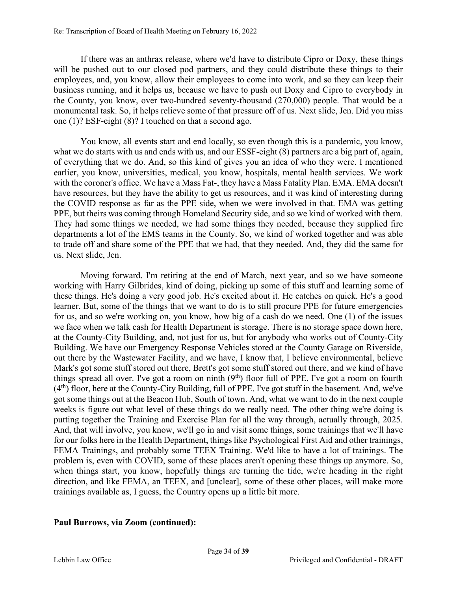If there was an anthrax release, where we'd have to distribute Cipro or Doxy, these things will be pushed out to our closed pod partners, and they could distribute these things to their employees, and, you know, allow their employees to come into work, and so they can keep their business running, and it helps us, because we have to push out Doxy and Cipro to everybody in the County, you know, over two-hundred seventy-thousand (270,000) people. That would be a monumental task. So, it helps relieve some of that pressure off of us. Next slide, Jen. Did you miss one (1)? ESF-eight (8)? I touched on that a second ago.

You know, all events start and end locally, so even though this is a pandemic, you know, what we do starts with us and ends with us, and our ESSF-eight (8) partners are a big part of, again, of everything that we do. And, so this kind of gives you an idea of who they were. I mentioned earlier, you know, universities, medical, you know, hospitals, mental health services. We work with the coroner's office. We have a Mass Fat-, they have a Mass Fatality Plan. EMA. EMA doesn't have resources, but they have the ability to get us resources, and it was kind of interesting during the COVID response as far as the PPE side, when we were involved in that. EMA was getting PPE, but theirs was coming through Homeland Security side, and so we kind of worked with them. They had some things we needed, we had some things they needed, because they supplied fire departments a lot of the EMS teams in the County. So, we kind of worked together and was able to trade off and share some of the PPE that we had, that they needed. And, they did the same for us. Next slide, Jen.

Moving forward. I'm retiring at the end of March, next year, and so we have someone working with Harry Gilbrides, kind of doing, picking up some of this stuff and learning some of these things. He's doing a very good job. He's excited about it. He catches on quick. He's a good learner. But, some of the things that we want to do is to still procure PPE for future emergencies for us, and so we're working on, you know, how big of a cash do we need. One (1) of the issues we face when we talk cash for Health Department is storage. There is no storage space down here, at the County-City Building, and, not just for us, but for anybody who works out of County-City Building. We have our Emergency Response Vehicles stored at the County Garage on Riverside, out there by the Wastewater Facility, and we have, I know that, I believe environmental, believe Mark's got some stuff stored out there, Brett's got some stuff stored out there, and we kind of have things spread all over. I've got a room on ninth  $(9<sup>th</sup>)$  floor full of PPE. I've got a room on fourth  $(4<sup>th</sup>)$  floor, here at the County-City Building, full of PPE. I've got stuff in the basement. And, we've got some things out at the Beacon Hub, South of town. And, what we want to do in the next couple weeks is figure out what level of these things do we really need. The other thing we're doing is putting together the Training and Exercise Plan for all the way through, actually through, 2025. And, that will involve, you know, we'll go in and visit some things, some trainings that we'll have for our folks here in the Health Department, things like Psychological First Aid and other trainings, FEMA Trainings, and probably some TEEX Training. We'd like to have a lot of trainings. The problem is, even with COVID, some of these places aren't opening these things up anymore. So, when things start, you know, hopefully things are turning the tide, we're heading in the right direction, and like FEMA, an TEEX, and [unclear], some of these other places, will make more trainings available as, I guess, the Country opens up a little bit more.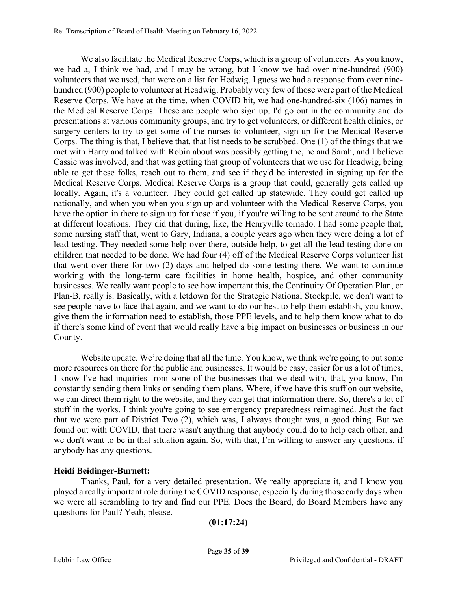We also facilitate the Medical Reserve Corps, which is a group of volunteers. As you know, we had a, I think we had, and I may be wrong, but I know we had over nine-hundred (900) volunteers that we used, that were on a list for Hedwig. I guess we had a response from over ninehundred (900) people to volunteer at Headwig. Probably very few of those were part of the Medical Reserve Corps. We have at the time, when COVID hit, we had one-hundred-six (106) names in the Medical Reserve Corps. These are people who sign up, I'd go out in the community and do presentations at various community groups, and try to get volunteers, or different health clinics, or surgery centers to try to get some of the nurses to volunteer, sign-up for the Medical Reserve Corps. The thing is that, I believe that, that list needs to be scrubbed. One (1) of the things that we met with Harry and talked with Robin about was possibly getting the, he and Sarah, and I believe Cassie was involved, and that was getting that group of volunteers that we use for Headwig, being able to get these folks, reach out to them, and see if they'd be interested in signing up for the Medical Reserve Corps. Medical Reserve Corps is a group that could, generally gets called up locally. Again, it's a volunteer. They could get called up statewide. They could get called up nationally, and when you when you sign up and volunteer with the Medical Reserve Corps, you have the option in there to sign up for those if you, if you're willing to be sent around to the State at different locations. They did that during, like, the Henryville tornado. I had some people that, some nursing staff that, went to Gary, Indiana, a couple years ago when they were doing a lot of lead testing. They needed some help over there, outside help, to get all the lead testing done on children that needed to be done. We had four (4) off of the Medical Reserve Corps volunteer list that went over there for two (2) days and helped do some testing there. We want to continue working with the long-term care facilities in home health, hospice, and other community businesses. We really want people to see how important this, the Continuity Of Operation Plan, or Plan-B, really is. Basically, with a letdown for the Strategic National Stockpile, we don't want to see people have to face that again, and we want to do our best to help them establish, you know, give them the information need to establish, those PPE levels, and to help them know what to do if there's some kind of event that would really have a big impact on businesses or business in our County.

Website update. We're doing that all the time. You know, we think we're going to put some more resources on there for the public and businesses. It would be easy, easier for us a lot of times, I know I've had inquiries from some of the businesses that we deal with, that, you know, I'm constantly sending them links or sending them plans. Where, if we have this stuff on our website, we can direct them right to the website, and they can get that information there. So, there's a lot of stuff in the works. I think you're going to see emergency preparedness reimagined. Just the fact that we were part of District Two (2), which was, I always thought was, a good thing. But we found out with COVID, that there wasn't anything that anybody could do to help each other, and we don't want to be in that situation again. So, with that, I'm willing to answer any questions, if anybody has any questions.

# **Heidi Beidinger-Burnett:**

Thanks, Paul, for a very detailed presentation. We really appreciate it, and I know you played a really important role during the COVID response, especially during those early days when we were all scrambling to try and find our PPE. Does the Board, do Board Members have any questions for Paul? Yeah, please.

```
(01:17:24)
```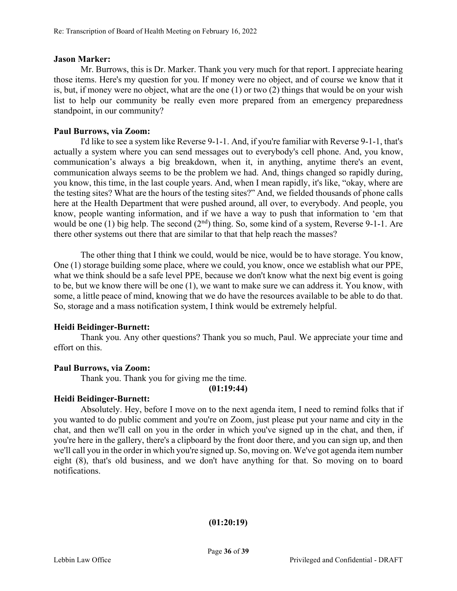### **Jason Marker:**

Mr. Burrows, this is Dr. Marker. Thank you very much for that report. I appreciate hearing those items. Here's my question for you. If money were no object, and of course we know that it is, but, if money were no object, what are the one (1) or two (2) things that would be on your wish list to help our community be really even more prepared from an emergency preparedness standpoint, in our community?

# **Paul Burrows, via Zoom:**

I'd like to see a system like Reverse 9-1-1. And, if you're familiar with Reverse 9-1-1, that's actually a system where you can send messages out to everybody's cell phone. And, you know, communication's always a big breakdown, when it, in anything, anytime there's an event, communication always seems to be the problem we had. And, things changed so rapidly during, you know, this time, in the last couple years. And, when I mean rapidly, it's like, "okay, where are the testing sites? What are the hours of the testing sites?" And, we fielded thousands of phone calls here at the Health Department that were pushed around, all over, to everybody. And people, you know, people wanting information, and if we have a way to push that information to 'em that would be one (1) big help. The second  $(2<sup>nd</sup>)$  thing. So, some kind of a system, Reverse 9-1-1. Are there other systems out there that are similar to that that help reach the masses?

The other thing that I think we could, would be nice, would be to have storage. You know, One (1) storage building some place, where we could, you know, once we establish what our PPE, what we think should be a safe level PPE, because we don't know what the next big event is going to be, but we know there will be one (1), we want to make sure we can address it. You know, with some, a little peace of mind, knowing that we do have the resources available to be able to do that. So, storage and a mass notification system, I think would be extremely helpful.

# **Heidi Beidinger-Burnett:**

Thank you. Any other questions? Thank you so much, Paul. We appreciate your time and effort on this.

# **Paul Burrows, via Zoom:**

Thank you. Thank you for giving me the time.

**(01:19:44)**

### **Heidi Beidinger-Burnett:**

Absolutely. Hey, before I move on to the next agenda item, I need to remind folks that if you wanted to do public comment and you're on Zoom, just please put your name and city in the chat, and then we'll call on you in the order in which you've signed up in the chat, and then, if you're here in the gallery, there's a clipboard by the front door there, and you can sign up, and then we'll call you in the order in which you're signed up. So, moving on. We've got agenda item number eight (8), that's old business, and we don't have anything for that. So moving on to board notifications.

### **(01:20:19)**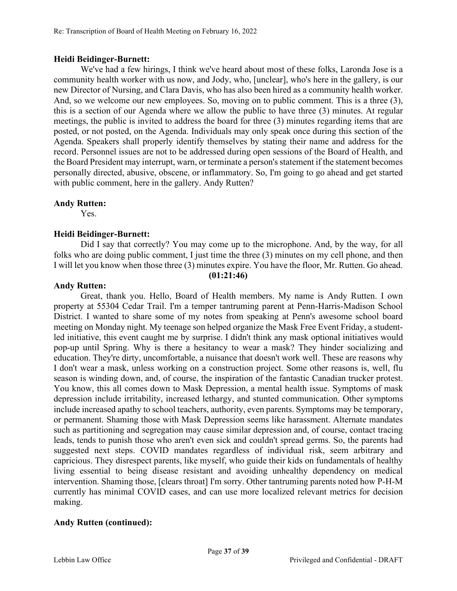## **Heidi Beidinger-Burnett:**

We've had a few hirings, I think we've heard about most of these folks, Laronda Jose is a community health worker with us now, and Jody, who, [unclear], who's here in the gallery, is our new Director of Nursing, and Clara Davis, who has also been hired as a community health worker. And, so we welcome our new employees. So, moving on to public comment. This is a three (3), this is a section of our Agenda where we allow the public to have three (3) minutes. At regular meetings, the public is invited to address the board for three (3) minutes regarding items that are posted, or not posted, on the Agenda. Individuals may only speak once during this section of the Agenda. Speakers shall properly identify themselves by stating their name and address for the record. Personnel issues are not to be addressed during open sessions of the Board of Health, and the Board President may interrupt, warn, or terminate a person's statement if the statement becomes personally directed, abusive, obscene, or inflammatory. So, I'm going to go ahead and get started with public comment, here in the gallery. Andy Rutten?

## **Andy Rutten:**

Yes.

## **Heidi Beidinger-Burnett:**

Did I say that correctly? You may come up to the microphone. And, by the way, for all folks who are doing public comment, I just time the three (3) minutes on my cell phone, and then I will let you know when those three (3) minutes expire. You have the floor, Mr. Rutten. Go ahead.

## **(01:21:46)**

### **Andy Rutten:**

Great, thank you. Hello, Board of Health members. My name is Andy Rutten. I own property at 55304 Cedar Trail. I'm a temper tantruming parent at Penn-Harris-Madison School District. I wanted to share some of my notes from speaking at Penn's awesome school board meeting on Monday night. My teenage son helped organize the Mask Free Event Friday, a studentled initiative, this event caught me by surprise. I didn't think any mask optional initiatives would pop-up until Spring. Why is there a hesitancy to wear a mask? They hinder socializing and education. They're dirty, uncomfortable, a nuisance that doesn't work well. These are reasons why I don't wear a mask, unless working on a construction project. Some other reasons is, well, flu season is winding down, and, of course, the inspiration of the fantastic Canadian trucker protest. You know, this all comes down to Mask Depression, a mental health issue. Symptoms of mask depression include irritability, increased lethargy, and stunted communication. Other symptoms include increased apathy to school teachers, authority, even parents. Symptoms may be temporary, or permanent. Shaming those with Mask Depression seems like harassment. Alternate mandates such as partitioning and segregation may cause similar depression and, of course, contact tracing leads, tends to punish those who aren't even sick and couldn't spread germs. So, the parents had suggested next steps. COVID mandates regardless of individual risk, seem arbitrary and capricious. They disrespect parents, like myself, who guide their kids on fundamentals of healthy living essential to being disease resistant and avoiding unhealthy dependency on medical intervention. Shaming those, [clears throat] I'm sorry. Other tantruming parents noted how P-H-M currently has minimal COVID cases, and can use more localized relevant metrics for decision making.

# **Andy Rutten (continued):**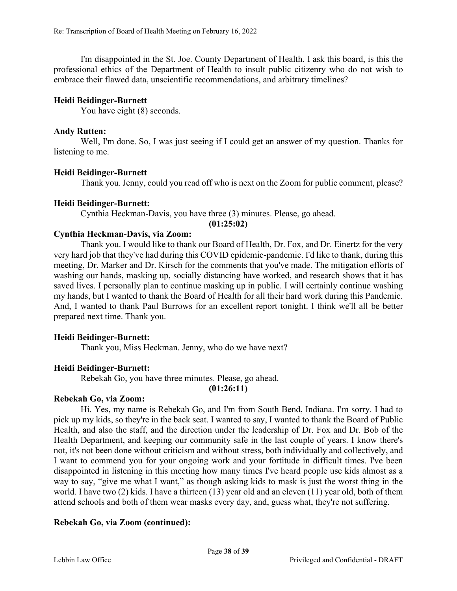I'm disappointed in the St. Joe. County Department of Health. I ask this board, is this the professional ethics of the Department of Health to insult public citizenry who do not wish to embrace their flawed data, unscientific recommendations, and arbitrary timelines?

# **Heidi Beidinger-Burnett**

You have eight  $(8)$  seconds.

# **Andy Rutten:**

Well, I'm done. So, I was just seeing if I could get an answer of my question. Thanks for listening to me.

## **Heidi Beidinger-Burnett**

Thank you. Jenny, could you read off who is next on the Zoom for public comment, please?

## **Heidi Beidinger-Burnett:**

Cynthia Heckman-Davis, you have three (3) minutes. Please, go ahead.

**(01:25:02)**

## **Cynthia Heckman-Davis, via Zoom:**

Thank you. I would like to thank our Board of Health, Dr. Fox, and Dr. Einertz for the very very hard job that they've had during this COVID epidemic-pandemic. I'd like to thank, during this meeting, Dr. Marker and Dr. Kirsch for the comments that you've made. The mitigation efforts of washing our hands, masking up, socially distancing have worked, and research shows that it has saved lives. I personally plan to continue masking up in public. I will certainly continue washing my hands, but I wanted to thank the Board of Health for all their hard work during this Pandemic. And, I wanted to thank Paul Burrows for an excellent report tonight. I think we'll all be better prepared next time. Thank you.

# **Heidi Beidinger-Burnett:**

Thank you, Miss Heckman. Jenny, who do we have next?

# **Heidi Beidinger-Burnett:**

Rebekah Go, you have three minutes. Please, go ahead.

**(01:26:11)**

### **Rebekah Go, via Zoom:**

Hi. Yes, my name is Rebekah Go, and I'm from South Bend, Indiana. I'm sorry. I had to pick up my kids, so they're in the back seat. I wanted to say, I wanted to thank the Board of Public Health, and also the staff, and the direction under the leadership of Dr. Fox and Dr. Bob of the Health Department, and keeping our community safe in the last couple of years. I know there's not, it's not been done without criticism and without stress, both individually and collectively, and I want to commend you for your ongoing work and your fortitude in difficult times. I've been disappointed in listening in this meeting how many times I've heard people use kids almost as a way to say, "give me what I want," as though asking kids to mask is just the worst thing in the world. I have two (2) kids. I have a thirteen (13) year old and an eleven (11) year old, both of them attend schools and both of them wear masks every day, and, guess what, they're not suffering.

# **Rebekah Go, via Zoom (continued):**